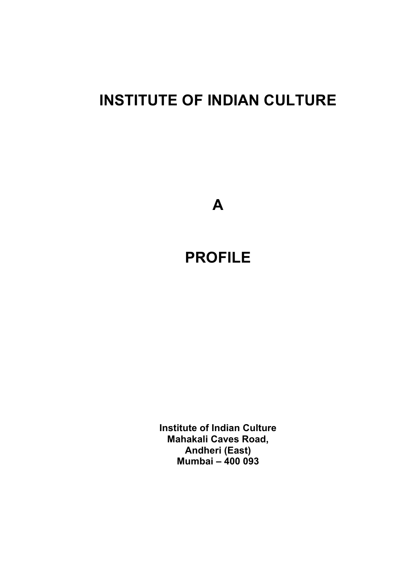# **INSTITUTE OF INDIAN CULTURE**

**A**

# **PROFILE**

**Institute of Indian Culture Mahakali Caves Road, Andheri (East) Mumbai – 400 093**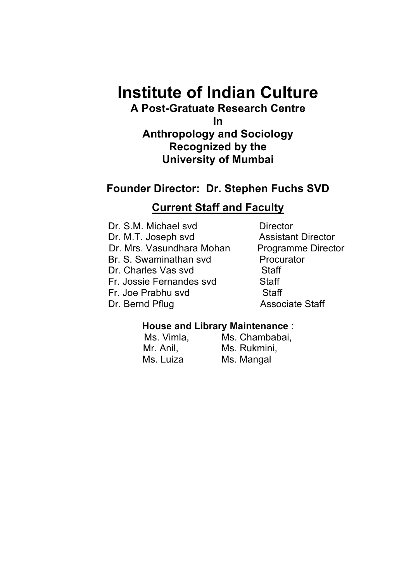# **Institute of Indian Culture**

# **A Post-Gratuate Research Centre**

**In Anthropology and Sociology Recognized by the University of Mumbai**

# **Founder Director: Dr. Stephen Fuchs SVD**

# **Current Staff and Faculty**

Dr. S.M. Michael svd Director Dr. M.T. Joseph svd Assistant Director Dr. Mrs. Vasundhara Mohan Programme Director Br. S. Swaminathan svd Procurator Dr. Charles Vas svd Staff Fr. Jossie Fernandes svd Staff Fr. Joe Prabhu svd Staff Dr. Bernd Pflug Associate Staff

## **House and Library Maintenance** :

Ms. Vimla, Ms. Chambabai, Mr. Anil, Mr. Rukmini, Ms. Luiza Ms. Mangal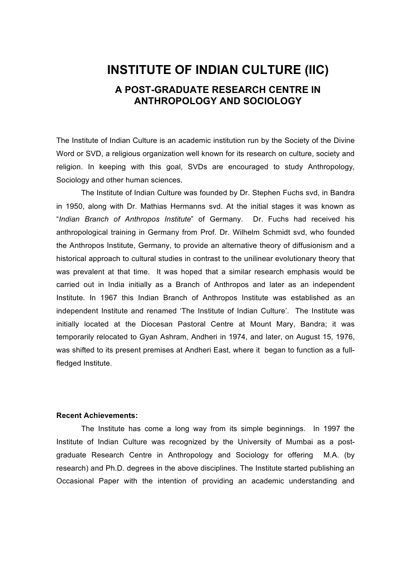# **INSTITUTE OF INDIAN CULTURE (IIC) A POST-GRADUATE RESEARCH CENTRE IN ANTHROPOLOGY AND SOCIOLOGY**

The Institute of Indian Culture is an academic institution run by the Society of the Divine Word or SVD, a religious organization well known for its research on culture, society and religion. In keeping with this goal, SVDs are encouraged to study Anthropology, Sociology and other human sciences.

The Institute of Indian Culture was founded by Dr. Stephen Fuchs svd, in Bandra in 1950, along with Dr. Mathias Hermanns svd. At the initial stages it was known as "*Indian Branch of Anthropos Institute*" of Germany. Dr. Fuchs had received his anthropological training in Germany from Prof. Dr. Wilhelm Schmidt svd, who founded the Anthropos Institute, Germany, to provide an alternative theory of diffusionism and a historical approach to cultural studies in contrast to the unilinear evolutionary theory that was prevalent at that time. It was hoped that a similar research emphasis would be carried out in India initially as a Branch of Anthropos and later as an independent Institute. In 1967 this Indian Branch of Anthropos Institute was established as an independent Institute and renamed 'The Institute of Indian Culture'. The Institute was initially located at the Diocesan Pastoral Centre at Mount Mary, Bandra; it was temporarily relocated to Gyan Ashram, Andheri in 1974, and later, on August 15, 1976, was shifted to its present premises at Andheri East, where it began to function as a fullfledged Institute.

#### **Recent Achievements:**

The Institute has come a long way from its simple beginnings. In 1997 the Institute of Indian Culture was recognized by the University of Mumbai as a postgraduate Research Centre in Anthropology and Sociology for offering M.A. (by research) and Ph.D. degrees in the above disciplines. The Institute started publishing an Occasional Paper with the intention of providing an academic understanding and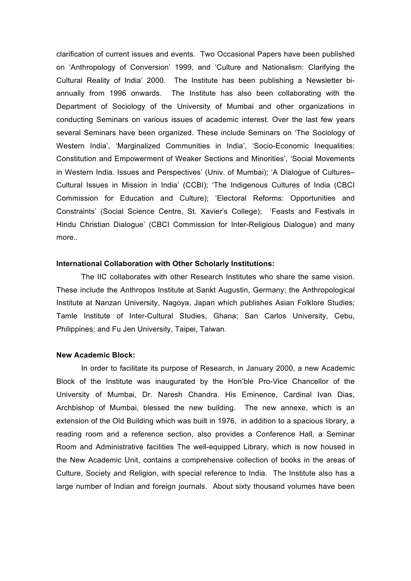clarification of current issues and events. Two Occasional Papers have been published on 'Anthropology of Conversion' 1999, and 'Culture and Nationalism: Clarifying the Cultural Reality of India' 2000. The Institute has been publishing a Newsletter biannually from 1996 onwards. The Institute has also been collaborating with the Department of Sociology of the University of Mumbai and other organizations in conducting Seminars on various issues of academic interest. Over the last few years several Seminars have been organized. These include Seminars on 'The Sociology of Western India', 'Marginalized Communities in India', 'Socio-Economic Inequalities: Constitution and Empowerment of Weaker Sections and Minorities', 'Social Movements in Western India. Issues and Perspectives' (Univ. of Mumbai); 'A Dialogue of Cultures– Cultural Issues in Mission in India' (CCBI); 'The Indigenous Cultures of India (CBCI Commission for Education and Culture); 'Electoral Reforms: Opportunities and Constraints' (Social Science Centre, St. Xavier's College); 'Feasts and Festivals in Hindu Christian Dialogue' (CBCI Commission for Inter-Religious Dialogue) and many more..

#### **International Collaboration with Other Scholarly Institutions:**

The IIC collaborates with other Research Institutes who share the same vision. These include the Anthropos Institute at Sankt Augustin, Germany; the Anthropological Institute at Nanzan University, Nagoya, Japan which publishes Asian Folklore Studies; Tamle Institute of Inter-Cultural Studies, Ghana; San Carlos University, Cebu, Philippines; and Fu Jen University, Taipei, Taiwan.

#### **New Academic Block:**

In order to facilitate its purpose of Research, in January 2000, a new Academic Block of the Institute was inaugurated by the Hon'ble Pro-Vice Chancellor of the University of Mumbai, Dr. Naresh Chandra. His Eminence, Cardinal Ivan Dias, Archbishop of Mumbai, blessed the new building. The new annexe, which is an extension of the Old Building which was built in 1976, in addition to a spacious library, a reading room and a reference section, also provides a Conference Hall, a Seminar Room and Administrative facilities The well-equipped Library, which is now housed in the New Academic Unit, contains a comprehensive collection of books in the areas of Culture, Society and Religion, with special reference to India. The Institute also has a large number of Indian and foreign journals. About sixty thousand volumes have been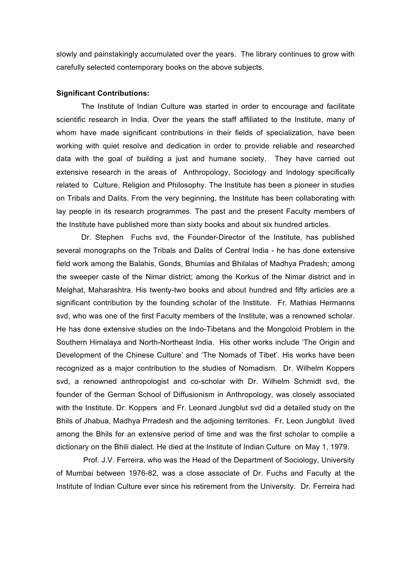slowly and painstakingly accumulated over the years. The library continues to grow with carefully selected contemporary books on the above subjects.

#### **Significant Contributions:**

The Institute of Indian Culture was started in order to encourage and facilitate scientific research in India. Over the years the staff affiliated to the Institute, many of whom have made significant contributions in their fields of specialization, have been working with quiet resolve and dedication in order to provide reliable and researched data with the goal of building a just and humane society. They have carried out extensive research in the areas of Anthropology, Sociology and Indology specifically related to Culture, Religion and Philosophy. The Institute has been a pioneer in studies on Tribals and Dalits. From the very beginning, the Institute has been collaborating with lay people in its research programmes. The past and the present Faculty members of the Institute have published more than sixty books and about six hundred articles.

Dr. Stephen Fuchs svd, the Founder-Director of the Institute, has published several monographs on the Tribals and Dalits of Central India - he has done extensive field work among the Balahis, Gonds, Bhumias and Bhilalas of Madhya Pradesh; among the sweeper caste of the Nimar district; among the Korkus of the Nimar district and in Melghat, Maharashtra. His twenty-two books and about hundred and fifty articles are a significant contribution by the founding scholar of the Institute. Fr. Mathias Hermanns svd, who was one of the first Faculty members of the Institute, was a renowned scholar. He has done extensive studies on the Indo-Tibetans and the Mongoloid Problem in the Southern Himalaya and North-Northeast India. His other works include 'The Origin and Development of the Chinese Culture' and 'The Nomads of Tibet'. His works have been recognized as a major contribution to the studies of Nomadism. Dr. Wilhelm Koppers svd, a renowned anthropologist and co-scholar with Dr. Wilhelm Schmidt svd, the founder of the German School of Diffusionism in Anthropology, was closely associated with the Institute. Dr. Koppers and Fr. Leonard Jungblut svd did a detailed study on the Bhils of Jhabua, Madhya Prradesh and the adjoining territories. Fr. Leon Jungblut lived among the Bhils for an extensive period of time and was the first scholar to compile a dictionary on the Bhili dialect. He died at the Institute of Indian Culture on May 1, 1979.

Prof. J.V. Ferreira, who was the Head of the Department of Sociology, University of Mumbai between 1976-82, was a close associate of Dr. Fuchs and Faculty at the Institute of Indian Culture ever since his retirement from the University. Dr. Ferreira had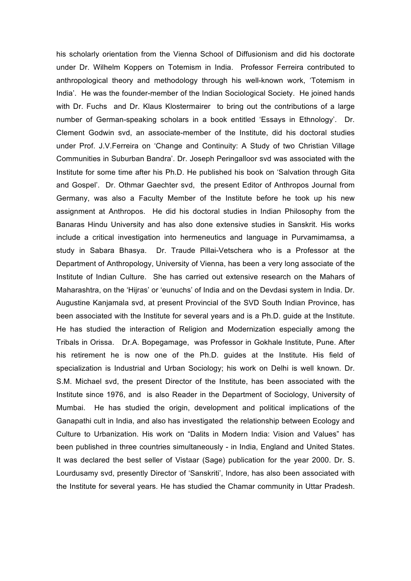his scholarly orientation from the Vienna School of Diffusionism and did his doctorate under Dr. Wilhelm Koppers on Totemism in India. Professor Ferreira contributed to anthropological theory and methodology through his well-known work, 'Totemism in India'. He was the founder-member of the Indian Sociological Society. He joined hands with Dr. Fuchs and Dr. Klaus Klostermairer to bring out the contributions of a large number of German-speaking scholars in a book entitled 'Essays in Ethnology'. Dr. Clement Godwin svd, an associate-member of the Institute, did his doctoral studies under Prof. J.V.Ferreira on 'Change and Continuity: A Study of two Christian Village Communities in Suburban Bandra'. Dr. Joseph Peringalloor svd was associated with the Institute for some time after his Ph.D. He published his book on 'Salvation through Gita and Gospel'. Dr. Othmar Gaechter svd, the present Editor of Anthropos Journal from Germany, was also a Faculty Member of the Institute before he took up his new assignment at Anthropos. He did his doctoral studies in Indian Philosophy from the Banaras Hindu University and has also done extensive studies in Sanskrit. His works include a critical investigation into hermeneutics and language in Purvamimamsa, a study in Sabara Bhasya. Dr. Traude Pillai-Vetschera who is a Professor at the Department of Anthropology, University of Vienna, has been a very long associate of the Institute of Indian Culture. She has carried out extensive research on the Mahars of Maharashtra, on the 'Hijras' or 'eunuchs' of India and on the Devdasi system in India. Dr. Augustine Kanjamala svd, at present Provincial of the SVD South Indian Province, has been associated with the Institute for several years and is a Ph.D. guide at the Institute. He has studied the interaction of Religion and Modernization especially among the Tribals in Orissa. Dr.A. Bopegamage, was Professor in Gokhale Institute, Pune. After his retirement he is now one of the Ph.D. guides at the Institute. His field of specialization is Industrial and Urban Sociology; his work on Delhi is well known. Dr. S.M. Michael svd, the present Director of the Institute, has been associated with the Institute since 1976, and is also Reader in the Department of Sociology, University of Mumbai. He has studied the origin, development and political implications of the Ganapathi cult in India, and also has investigated the relationship between Ecology and Culture to Urbanization. His work on "Dalits in Modern India: Vision and Values" has been published in three countries simultaneously - in India, England and United States. It was declared the best seller of Vistaar (Sage) publication for the year 2000. Dr. S. Lourdusamy svd, presently Director of 'Sanskriti', Indore, has also been associated with the Institute for several years. He has studied the Chamar community in Uttar Pradesh.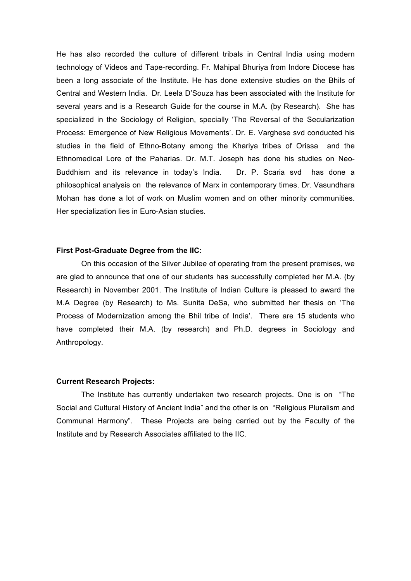He has also recorded the culture of different tribals in Central India using modern technology of Videos and Tape-recording. Fr. Mahipal Bhuriya from Indore Diocese has been a long associate of the Institute. He has done extensive studies on the Bhils of Central and Western India. Dr. Leela D'Souza has been associated with the Institute for several years and is a Research Guide for the course in M.A. (by Research). She has specialized in the Sociology of Religion, specially 'The Reversal of the Secularization Process: Emergence of New Religious Movements'. Dr. E. Varghese svd conducted his studies in the field of Ethno-Botany among the Khariya tribes of Orissa and the Ethnomedical Lore of the Paharias. Dr. M.T. Joseph has done his studies on Neo-Buddhism and its relevance in today's India. Dr. P. Scaria svd has done a philosophical analysis on the relevance of Marx in contemporary times. Dr. Vasundhara Mohan has done a lot of work on Muslim women and on other minority communities. Her specialization lies in Euro-Asian studies.

#### **First Post-Graduate Degree from the IIC:**

On this occasion of the Silver Jubilee of operating from the present premises, we are glad to announce that one of our students has successfully completed her M.A. (by Research) in November 2001. The Institute of Indian Culture is pleased to award the M.A Degree (by Research) to Ms. Sunita DeSa, who submitted her thesis on 'The Process of Modernization among the Bhil tribe of India'. There are 15 students who have completed their M.A. (by research) and Ph.D. degrees in Sociology and Anthropology.

#### **Current Research Projects:**

The Institute has currently undertaken two research projects. One is on "The Social and Cultural History of Ancient India" and the other is on "Religious Pluralism and Communal Harmony". These Projects are being carried out by the Faculty of the Institute and by Research Associates affiliated to the IIC.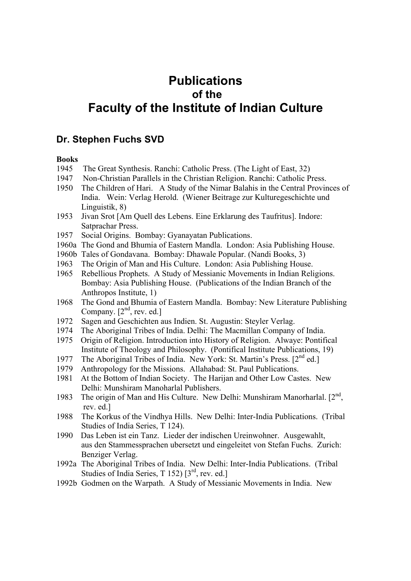# **Publications of the Faculty of the Institute of Indian Culture**

### **Dr. Stephen Fuchs SVD**

#### **Books**

- 1945 The Great Synthesis. Ranchi: Catholic Press. (The Light of East, 32)
- 1947 Non-Christian Parallels in the Christian Religion. Ranchi: Catholic Press.
- 1950 The Children of Hari. A Study of the Nimar Balahis in the Central Provinces of India. Wein: Verlag Herold. (Wiener Beitrage zur Kulturegeschichte und Linguistik, 8)
- 1953 Jivan Srot [Am Quell des Lebens. Eine Erklarung des Taufritus]. Indore: Satprachar Press.
- 1957 Social Origins. Bombay: Gyanayatan Publications.
- 1960a The Gond and Bhumia of Eastern Mandla. London: Asia Publishing House.
- 1960b Tales of Gondavana. Bombay: Dhawale Popular. (Nandi Books, 3)
- 1963 The Origin of Man and His Culture. London: Asia Publishing House.
- 1965 Rebellious Prophets. A Study of Messianic Movements in Indian Religions. Bombay: Asia Publishing House. (Publications of the Indian Branch of the Anthropos Institute, 1)
- 1968 The Gond and Bhumia of Eastern Mandla. Bombay: New Literature Publishing Company.  $[2<sup>nd</sup>, rev. ed.]$
- 1972 Sagen and Geschichten aus Indien. St. Augustin: Steyler Verlag.
- 1974 The Aboriginal Tribes of India. Delhi: The Macmillan Company of India.
- 1975 Origin of Religion. Introduction into History of Religion. Alwaye: Pontifical Institute of Theology and Philosophy. (Pontifical Institute Publications, 19)
- 1977 The Aboriginal Tribes of India. New York: St. Martin's Press. [2<sup>nd</sup> ed.]
- 1979 Anthropology for the Missions. Allahabad: St. Paul Publications.
- 1981 At the Bottom of Indian Society. The Harijan and Other Low Castes. New Delhi: Munshiram Manoharlal Publishers.
- 1983 The origin of Man and His Culture. New Delhi: Munshiram Manorharlal.  $[2^{nd}]$ . rev. ed.]
- 1988 The Korkus of the Vindhya Hills. New Delhi: Inter-India Publications. (Tribal Studies of India Series, T 124).
- 1990 Das Leben ist ein Tanz. Lieder der indischen Ureinwohner. Ausgewahlt, aus den Stammessprachen ubersetzt und eingeleitet von Stefan Fuchs. Zurich: Benziger Verlag.
- 1992a The Aboriginal Tribes of India. New Delhi: Inter-India Publications. (Tribal Studies of India Series, T 152)  $[3^{rd},$  rev. ed.]
- 1992b Godmen on the Warpath. A Study of Messianic Movements in India. New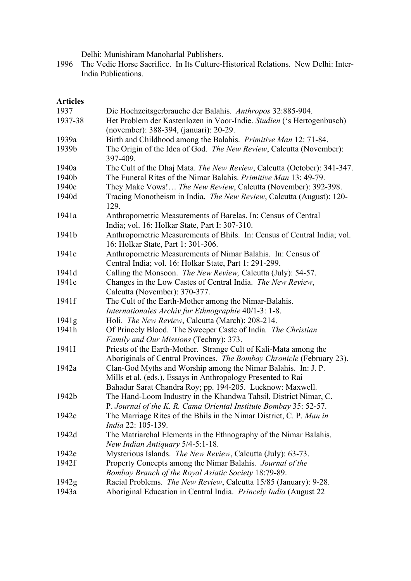Delhi: Munishiram Manoharlal Publishers.

1996 The Vedic Horse Sacrifice. In Its Culture-Historical Relations. New Delhi: Inter-India Publications.

### **Articles**

| 1937              | Die Hochzeitsgerbrauche der Balahis. Anthropos 32:885-904.                      |
|-------------------|---------------------------------------------------------------------------------|
| 1937-38           | Het Problem der Kastenlozen in Voor-Indie. Studien ('s Hertogenbusch)           |
|                   | (november): 388-394, (januari): 20-29.                                          |
| 1939a             | Birth and Childhood among the Balahis. Primitive Man 12: 71-84.                 |
| 1939b             | The Origin of the Idea of God. The New Review, Calcutta (November):<br>397-409. |
| 1940a             | The Cult of the Dhaj Mata. The New Review, Calcutta (October): 341-347.         |
| 1940b             | The Funeral Rites of the Nimar Balahis. Primitive Man 13: 49-79.                |
| 1940c             | They Make Vows! The New Review, Calcutta (November): 392-398.                   |
| 1940d             | Tracing Monotheism in India. The New Review, Calcutta (August): 120-<br>129.    |
| 1941a             | Anthropometric Measurements of Barelas. In: Census of Central                   |
|                   | India; vol. 16: Holkar State, Part I: 307-310.                                  |
| 1941b             | Anthropometric Measurements of Bhils. In: Census of Central India; vol.         |
|                   | 16: Holkar State, Part 1: 301-306.                                              |
| 1941 <sub>c</sub> | Anthropometric Measurements of Nimar Balahis. In: Census of                     |
|                   | Central India; vol. 16: Holkar State, Part 1: 291-299.                          |
| 1941d             | Calling the Monsoon. The New Review, Calcutta (July): 54-57.                    |
| 1941e             | Changes in the Low Castes of Central India. The New Review,                     |
|                   | Calcutta (November): 370-377.                                                   |
| 1941f             | The Cult of the Earth-Mother among the Nimar-Balahis.                           |
|                   | Internationales Archiv fur Ethnographie 40/1-3: 1-8.                            |
| 1941g             | Holi. The New Review, Calcutta (March): 208-214.                                |
| 1941h             | Of Princely Blood. The Sweeper Caste of India. The Christian                    |
|                   | Family and Our Missions (Techny): 373.                                          |
| 1941I             | Priests of the Earth-Mother. Strange Cult of Kali-Mata among the                |
|                   | Aboriginals of Central Provinces. The Bombay Chronicle (February 23).           |
| 1942a             | Clan-God Myths and Worship among the Nimar Balahis. In: J. P.                   |
|                   | Mills et al. (eds.), Essays in Anthropology Presented to Rai                    |
|                   | Bahadur Sarat Chandra Roy; pp. 194-205. Lucknow: Maxwell.                       |
| 1942b             | The Hand-Loom Industry in the Khandwa Tahsil, District Nimar, C.                |
|                   | P. Journal of the K. R. Cama Oriental Institute Bombay 35: 52-57.               |
| 1942c             | The Marriage Rites of the Bhils in the Nimar District, C. P. Man in             |
|                   | India 22: 105-139.                                                              |
| 1942d             | The Matriarchal Elements in the Ethnography of the Nimar Balahis.               |
|                   | New Indian Antiquary 5/4-5:1-18.                                                |
| 1942e             | Mysterious Islands. The New Review, Calcutta (July): 63-73.                     |
| 1942f             | Property Concepts among the Nimar Balahis. Journal of the                       |
|                   | Bombay Branch of the Royal Asiatic Society 18:79-89.                            |
| 1942g             | Racial Problems. The New Review, Calcutta 15/85 (January): 9-28.                |
| 1943a             | Aboriginal Education in Central India. Princely India (August 22                |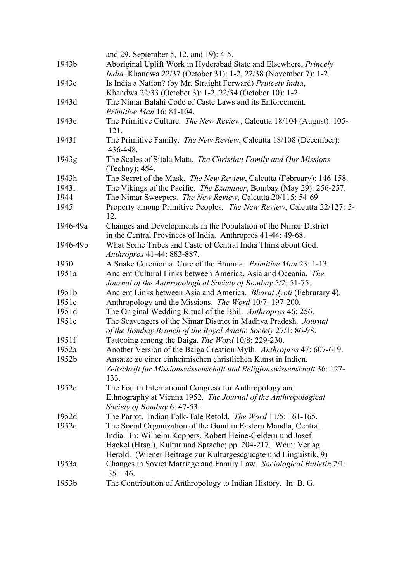|          | and 29, September 5, 12, and 19): 4-5.                                                                                            |
|----------|-----------------------------------------------------------------------------------------------------------------------------------|
| 1943b    | Aboriginal Uplift Work in Hyderabad State and Elsewhere, Princely                                                                 |
|          | <i>India</i> , Khandwa 22/37 (October 31): 1-2, 22/38 (November 7): 1-2.                                                          |
| 1943c    | Is India a Nation? (by Mr. Straight Forward) Princely India,                                                                      |
|          | Khandwa 22/33 (October 3): 1-2, 22/34 (October 10): 1-2.                                                                          |
| 1943d    | The Nimar Balahi Code of Caste Laws and its Enforcement.                                                                          |
|          | Primitive Man 16: 81-104.                                                                                                         |
| 1943e    | The Primitive Culture. The New Review, Calcutta 18/104 (August): 105-<br>121.                                                     |
| 1943f    | The Primitive Family. The New Review, Calcutta 18/108 (December):<br>436-448.                                                     |
| 1943g    | The Scales of Sitala Mata. The Christian Family and Our Missions<br>(Techny): 454.                                                |
| 1943h    | The Secret of the Mask. The New Review, Calcutta (February): 146-158.                                                             |
| 1943i    | The Vikings of the Pacific. The Examiner, Bombay (May 29): 256-257.                                                               |
| 1944     | The Nimar Sweepers. The New Review, Calcutta 20/115: 54-69.                                                                       |
| 1945     | Property among Primitive Peoples. The New Review, Calcutta 22/127: 5-<br>12.                                                      |
| 1946-49a | Changes and Developments in the Population of the Nimar District<br>in the Central Provinces of India. Anthropros 41-44: 49-68.   |
| 1946-49b | What Some Tribes and Caste of Central India Think about God.<br>Anthropros 41-44: 883-887.                                        |
| 1950     | A Snake Ceremonial Cure of the Bhumia. <i>Primitive Man</i> 23: 1-13.                                                             |
| 1951a    | Ancient Cultural Links between America, Asia and Oceania. The<br>Journal of the Anthropological Society of Bombay 5/2: 51-75.     |
| 1951b    | Ancient Links between Asia and America. Bharat Jyoti (Februrary 4).                                                               |
| 1951c    | Anthropology and the Missions. The Word 10/7: 197-200.                                                                            |
| 1951d    | The Original Wedding Ritual of the Bhil. Anthropros 46: 256.                                                                      |
| 1951e    | The Scavengers of the Nimar District in Madhya Pradesh. Journal<br>of the Bombay Branch of the Royal Asiatic Society 27/1: 86-98. |
| 1951f    | Tattooing among the Baiga. The Word 10/8: 229-230.                                                                                |
| 1952a    | Another Version of the Baiga Creation Myth. Anthropros 47: 607-619.                                                               |
| 1952b    | Ansatze zu einer einheimischen christlichen Kunst in Indien                                                                       |
|          | Zeitschrift fur Missionswissenschaft und Religionswissenschaft 36: 127-<br>133.                                                   |
| 1952c    | The Fourth International Congress for Anthropology and                                                                            |
|          | Ethnography at Vienna 1952. The Journal of the Anthropological<br>Society of Bombay 6: 47-53.                                     |
| 1952d    | The Parrot. Indian Folk-Tale Retold. The Word 11/5: 161-165.                                                                      |
| 1952e    | The Social Organization of the Gond in Eastern Mandla, Central                                                                    |
|          | India. In: Wilhelm Koppers, Robert Heine-Geldern und Josef<br>Haekel (Hrsg.), Kultur und Sprache; pp. 204-217. Wein: Verlag       |
|          | Herold. (Wiener Beitrage zur Kulturgescguegte und Linguistik, 9)                                                                  |
| 1953a    | Changes in Soviet Marriage and Family Law. Sociological Bulletin 2/1:<br>$35 - 46$ .                                              |
| 1953b    | The Contribution of Anthropology to Indian History. In: B. G.                                                                     |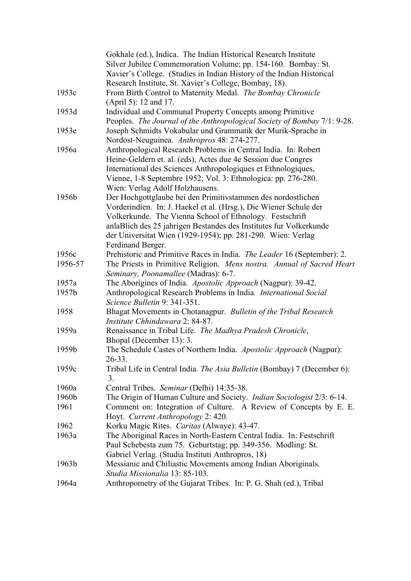|         | Gokhale (ed.), Indica. The Indian Historical Research Institute               |
|---------|-------------------------------------------------------------------------------|
|         | Silver Jubilee Commemoration Volume; pp. 154-160. Bombay: St.                 |
|         | Xavier's College. (Studies in Indian History of the Indian Historical         |
|         | Research Institute, St. Xavier's College, Bombay, 18).                        |
| 1953c   | From Birth Control to Maternity Medal. The Bombay Chronicle                   |
|         | (April 5): 12 and 17.                                                         |
| 1953d   | Individual and Communal Property Concepts among Primitive                     |
|         | Peoples. The Journal of the Anthropological Society of Bombay 7/1: 9-28.      |
| 1953e   | Joseph Schmidts Vokabular und Grammatik der Murik-Sprache in                  |
|         | Nordost-Neuguinea. Anthropros 48: 274-277.                                    |
| 1956a   | Anthropological Research Problems in Central India. In: Robert                |
|         | Heine-Geldern et. al. (eds), Actes due 4e Session due Congres                 |
|         | International des Sciences Anthropologiques et Ethnologiques,                 |
|         | Vienne, 1-8 Septembre 1952; Vol. 3: Ethnologica: pp. 276-280.                 |
|         | Wien: Verlag Adolf Holzhausens.                                               |
| 1956b   | Der Hochgottglaube bei den Primitivstammen des nordostlichen                  |
|         | Vorderindien. In: J. Haekel et al. (Hrsg.), Die Wiener Schule der             |
|         | Volkerkunde. The Vienna School of Ethnology. Festschrift                      |
|         | anlaBlich des 25 jahrigen Bestandes des Institutes fur Volkerkunde            |
|         | der Universitat Wien (1929-1954); pp. 281-290. Wien: Verlag                   |
|         | Ferdinand Berger.                                                             |
| 1956c   | Prehistoric and Primitive Races in India. The Leader 16 (September): 2.       |
| 1956-57 | The Priests in Primitive Religion. Mens nostra. Annual of Sacred Heart        |
|         | Seminary, Poonamallee (Madras): 6-7.                                          |
| 1957a   | The Aborigines of India. Apostolic Approach (Nagpur): 39-42.                  |
| 1957b   | Anthropological Research Problems in India. International Social              |
|         | Science Bulletin 9: 341-351.                                                  |
| 1958    | Bhagat Movements in Chotanagpur. Bulletin of the Tribal Research              |
|         | Institute Chhindawara 2: 84-87.                                               |
| 1959a   | Renaissance in Tribal Life. The Madhya Pradesh Chronicle,                     |
|         | Bhopal (December 13): 3.                                                      |
| 1959b   | The Schedule Castes of Northern India. Apostolic Approach (Nagpur):           |
|         | $26 - 33.$                                                                    |
| 1959c   | Tribal Life in Central India. The Asia Bulletin (Bombay) 7 (December 6):      |
|         | 3.                                                                            |
| 1960a   | Central Tribes. Seminar (Delhi) 14:35-38.                                     |
| 1960b   | The Origin of Human Culture and Society. <i>Indian Sociologist</i> 2/3: 6-14. |
| 1961    | Comment on: Integration of Culture. A Review of Concepts by E. E.             |
|         | Hoyt. Current Anthropology 2: 420.                                            |
| 1962    | Korku Magic Rites. Caritas (Alwaye): 43-47.                                   |
| 1963a   | The Aboriginal Races in North-Eastern Central India. In: Festschrift          |
|         | Paul Schebesta zum 75. Geburtstag; pp. 349-356. Modling: St.                  |
|         | Gabriel Verlag. (Studia Instituti Anthropros, 18)                             |
| 1963b   | Messianic and Chiliastic Movements among Indian Aboriginals.                  |
|         | Studia Missionalia 13: 85-103.                                                |
| 1964a   | Anthropometry of the Gujarat Tribes. In: P. G. Shah (ed.), Tribal             |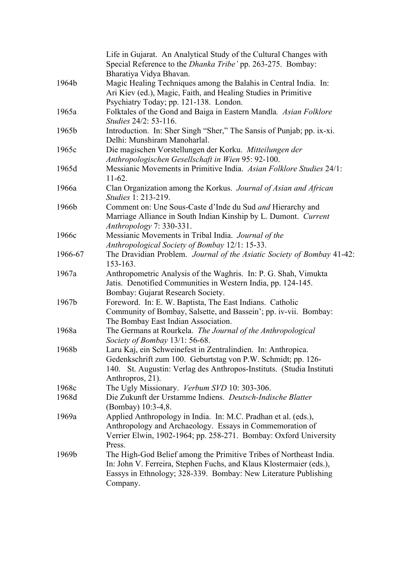|         | Life in Gujarat. An Analytical Study of the Cultural Changes with<br>Special Reference to the <i>Dhanka Tribe'</i> pp. 263-275. Bombay: |
|---------|-----------------------------------------------------------------------------------------------------------------------------------------|
|         | Bharatiya Vidya Bhavan.                                                                                                                 |
| 1964b   | Magic Healing Techniques among the Balahis in Central India. In:                                                                        |
|         | Ari Kiev (ed.), Magic, Faith, and Healing Studies in Primitive                                                                          |
|         | Psychiatry Today; pp. 121-138. London.                                                                                                  |
| 1965a   | Folktales of the Gond and Baiga in Eastern Mandla. Asian Folklore                                                                       |
|         | Studies 24/2: 53-116.                                                                                                                   |
| 1965b   | Introduction. In: Sher Singh "Sher," The Sansis of Punjab; pp. ix-xi.<br>Delhi: Munshiram Manoharlal.                                   |
| 1965c   | Die magischen Vorstellungen der Korku. Mitteilungen der                                                                                 |
|         | Anthropologischen Gesellschaft in Wien 95: 92-100.                                                                                      |
| 1965d   | Messianic Movements in Primitive India. Asian Folklore Studies 24/1:<br>$11-62.$                                                        |
| 1966a   | Clan Organization among the Korkus. Journal of Asian and African<br>Studies 1: 213-219.                                                 |
| 1966b   | Comment on: Une Sous-Caste d'Inde du Sud and Hierarchy and                                                                              |
|         | Marriage Alliance in South Indian Kinship by L. Dumont. Current                                                                         |
|         | Anthropology 7: 330-331.                                                                                                                |
| 1966c   | Messianic Movements in Tribal India. Journal of the                                                                                     |
|         | Anthropological Society of Bombay 12/1: 15-33.                                                                                          |
| 1966-67 | The Dravidian Problem. Journal of the Asiatic Society of Bombay 41-42:                                                                  |
|         | 153-163.                                                                                                                                |
| 1967a   | Anthropometric Analysis of the Waghris. In: P. G. Shah, Vimukta                                                                         |
|         | Jatis. Denotified Communities in Western India, pp. 124-145.                                                                            |
|         | Bombay: Gujarat Research Society.                                                                                                       |
| 1967b   | Foreword. In: E. W. Baptista, The East Indians. Catholic                                                                                |
|         | Community of Bombay, Salsette, and Bassein'; pp. iv-vii. Bombay:                                                                        |
|         | The Bombay East Indian Association.                                                                                                     |
| 1968a   | The Germans at Rourkela. The Journal of the Anthropological                                                                             |
|         | Society of Bombay 13/1: 56-68.                                                                                                          |
| 1968b   | Laru Kaj, ein Schweinefest in Zentralindien. In: Anthropica.                                                                            |
|         | Gedenkschrift zum 100. Geburtstag von P.W. Schmidt; pp. 126-                                                                            |
|         | 140. St. Augustin: Verlag des Anthropos-Instituts. (Studia Instituti                                                                    |
|         | Anthropros, 21).                                                                                                                        |
| 1968c   | The Ugly Missionary. Verbum SVD 10: 303-306.                                                                                            |
| 1968d   | Die Zukunft der Urstamme Indiens. Deutsch-Indische Blatter<br>(Bombay) 10:3-4,8.                                                        |
| 1969a   | Applied Anthropology in India. In: M.C. Pradhan et al. (eds.),                                                                          |
|         | Anthropology and Archaeology. Essays in Commemoration of                                                                                |
|         | Verrier Elwin, 1902-1964; pp. 258-271. Bombay: Oxford University                                                                        |
|         | Press.                                                                                                                                  |
| 1969b   | The High-God Belief among the Primitive Tribes of Northeast India.                                                                      |
|         | In: John V. Ferreira, Stephen Fuchs, and Klaus Klostermaier (eds.),                                                                     |
|         | Eassys in Ethnology; 328-339. Bombay: New Literature Publishing                                                                         |
|         | Company.                                                                                                                                |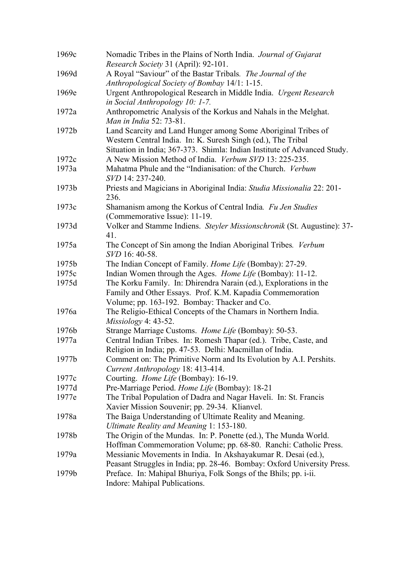| 1969c | Nomadic Tribes in the Plains of North India. Journal of Gujarat                                                                             |
|-------|---------------------------------------------------------------------------------------------------------------------------------------------|
|       | Research Society 31 (April): 92-101.                                                                                                        |
| 1969d | A Royal "Saviour" of the Bastar Tribals. The Journal of the                                                                                 |
|       | Anthropological Society of Bombay 14/1: 1-15.                                                                                               |
| 1969e | Urgent Anthropological Research in Middle India. Urgent Research                                                                            |
|       | in Social Anthropology 10: 1-7.                                                                                                             |
| 1972a | Anthropometric Analysis of the Korkus and Nahals in the Melghat.<br>Man in India 52: 73-81.                                                 |
| 1972b | Land Scarcity and Land Hunger among Some Aboriginal Tribes of                                                                               |
|       | Western Central India. In: K. Suresh Singh (ed.), The Tribal                                                                                |
|       | Situation in India; 367-373. Shimla: Indian Institute of Advanced Study.                                                                    |
| 1972c | A New Mission Method of India. Verbum SVD 13: 225-235.                                                                                      |
| 1973a | Mahatma Phule and the "Indianisation: of the Church. Verbum                                                                                 |
|       | SVD 14: 237-240.                                                                                                                            |
| 1973b | Priests and Magicians in Aboriginal India: Studia Missionalia 22: 201-<br>236.                                                              |
| 1973c | Shamanism among the Korkus of Central India. Fu Jen Studies                                                                                 |
|       | (Commemorative Issue): 11-19.                                                                                                               |
| 1973d | Volker and Stamme Indiens. Steyler Missionschronik (St. Augustine): 37-                                                                     |
|       | 41.                                                                                                                                         |
| 1975a | The Concept of Sin among the Indian Aboriginal Tribes. Verbum                                                                               |
|       | SVD 16: 40-58.                                                                                                                              |
| 1975b | The Indian Concept of Family. Home Life (Bombay): 27-29.                                                                                    |
| 1975c | Indian Women through the Ages. <i>Home Life</i> (Bombay): 11-12.                                                                            |
| 1975d | The Korku Family. In: Dhirendra Narain (ed.), Explorations in the                                                                           |
|       | Family and Other Essays. Prof. K.M. Kapadia Commemoration                                                                                   |
|       | Volume; pp. 163-192. Bombay: Thacker and Co.                                                                                                |
| 1976a | The Religio-Ethical Concepts of the Chamars in Northern India.                                                                              |
|       | $Missiology$ 4: 43-52.                                                                                                                      |
| 1976b | Strange Marriage Customs. Home Life (Bombay): 50-53.                                                                                        |
| 1977a | Central Indian Tribes. In: Romesh Thapar (ed.). Tribe, Caste, and                                                                           |
|       | Religion in India; pp. 47-53. Delhi: Macmillan of India.                                                                                    |
| 1977b | Comment on: The Primitive Norm and Its Evolution by A.I. Pershits.                                                                          |
|       | Current Anthropology 18: 413-414.                                                                                                           |
| 1977c | Courting. Home Life (Bombay): 16-19.                                                                                                        |
| 1977d | Pre-Marriage Period. Home Life (Bombay): 18-21                                                                                              |
| 1977e | The Tribal Population of Dadra and Nagar Haveli. In: St. Francis                                                                            |
|       | Xavier Mission Souvenir; pp. 29-34. Klianvel.                                                                                               |
| 1978a | The Baiga Understanding of Ultimate Reality and Meaning.                                                                                    |
|       | Ultimate Reality and Meaning 1: 153-180.                                                                                                    |
| 1978b | The Origin of the Mundas. In: P. Ponette (ed.), The Munda World.                                                                            |
|       | Hoffman Commemoration Volume; pp. 68-80. Ranchi: Catholic Press.                                                                            |
| 1979a | Messianic Movements in India. In Akshayakumar R. Desai (ed.),                                                                               |
| 1979b | Peasant Struggles in India; pp. 28-46. Bombay: Oxford University Press.<br>Preface. In: Mahipal Bhuriya, Folk Songs of the Bhils; pp. i-ii. |
|       | Indore: Mahipal Publications.                                                                                                               |
|       |                                                                                                                                             |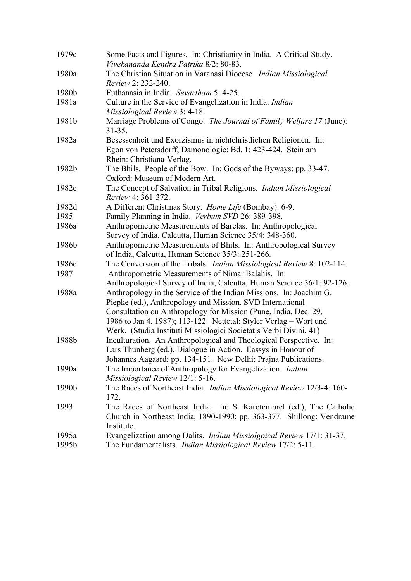| 1979c | Some Facts and Figures. In: Christianity in India. A Critical Study.<br>Vivekananda Kendra Patrika 8/2: 80-83.                                                                                                                                                                                                                               |
|-------|----------------------------------------------------------------------------------------------------------------------------------------------------------------------------------------------------------------------------------------------------------------------------------------------------------------------------------------------|
| 1980a | The Christian Situation in Varanasi Diocese. Indian Missiological<br>Review 2: 232-240.                                                                                                                                                                                                                                                      |
| 1980b | Euthanasia in India. Sevartham 5: 4-25.                                                                                                                                                                                                                                                                                                      |
| 1981a | Culture in the Service of Evangelization in India: Indian                                                                                                                                                                                                                                                                                    |
|       | Missiological Review 3: 4-18.                                                                                                                                                                                                                                                                                                                |
| 1981b | Marriage Problems of Congo. The Journal of Family Welfare 17 (June):<br>$31 - 35.$                                                                                                                                                                                                                                                           |
| 1982a | Besessenheit und Exorzismus in nichtchristlichen Religionen. In:                                                                                                                                                                                                                                                                             |
|       | Egon von Petersdorff, Damonologie; Bd. 1: 423-424. Stein am<br>Rhein: Christiana-Verlag.                                                                                                                                                                                                                                                     |
| 1982b | The Bhils. People of the Bow. In: Gods of the Byways; pp. 33-47.<br>Oxford: Museum of Modern Art.                                                                                                                                                                                                                                            |
| 1982c | The Concept of Salvation in Tribal Religions. Indian Missiological<br><i>Review</i> 4: 361-372.                                                                                                                                                                                                                                              |
| 1982d | A Different Christmas Story. Home Life (Bombay): 6-9.                                                                                                                                                                                                                                                                                        |
| 1985  | Family Planning in India. Verbum SVD 26: 389-398.                                                                                                                                                                                                                                                                                            |
| 1986a | Anthropometric Measurements of Barelas. In: Anthropological<br>Survey of India, Calcutta, Human Science 35/4: 348-360.                                                                                                                                                                                                                       |
| 1986b | Anthropometric Measurements of Bhils. In: Anthropological Survey<br>of India, Calcutta, Human Science 35/3: 251-266.                                                                                                                                                                                                                         |
| 1986c | The Conversion of the Tribals. <i>Indian Missiological Review 8</i> : 102-114.                                                                                                                                                                                                                                                               |
| 1987  | Anthropometric Measurements of Nimar Balahis. In:                                                                                                                                                                                                                                                                                            |
|       | Anthropological Survey of India, Calcutta, Human Science 36/1: 92-126.                                                                                                                                                                                                                                                                       |
| 1988a | Anthropology in the Service of the Indian Missions. In: Joachim G.<br>Piepke (ed.), Anthropology and Mission. SVD International<br>Consultation on Anthropology for Mission (Pune, India, Dec. 29,<br>1986 to Jan 4, 1987); 113-122. Nettetal: Styler Verlag – Wort und<br>Werk. (Studia Instituti Missiologici Societatis Verbi Divini, 41) |
| 1988b | Inculturation. An Anthropological and Theological Perspective. In:<br>Lars Thunberg (ed.), Dialogue in Action. Eassys in Honour of<br>Johannes Aagaard; pp. 134-151. New Delhi: Prajna Publications.                                                                                                                                         |
| 1990a | The Importance of Anthropology for Evangelization. <i>Indian</i><br>Missiological Review 12/1: 5-16.                                                                                                                                                                                                                                         |
| 1990b | The Races of Northeast India. <i>Indian Missiological Review</i> 12/3-4: 160-<br>172.                                                                                                                                                                                                                                                        |
| 1993  | The Races of Northeast India. In: S. Karotemprel (ed.), The Catholic<br>Church in Northeast India, 1890-1990; pp. 363-377. Shillong: Vendrame<br>Institute.                                                                                                                                                                                  |
| 1995a | Evangelization among Dalits. <i>Indian Missiolgoical Review</i> 17/1: 31-37.                                                                                                                                                                                                                                                                 |
| 1995b | The Fundamentalists. <i>Indian Missiological Review</i> 17/2: 5-11.                                                                                                                                                                                                                                                                          |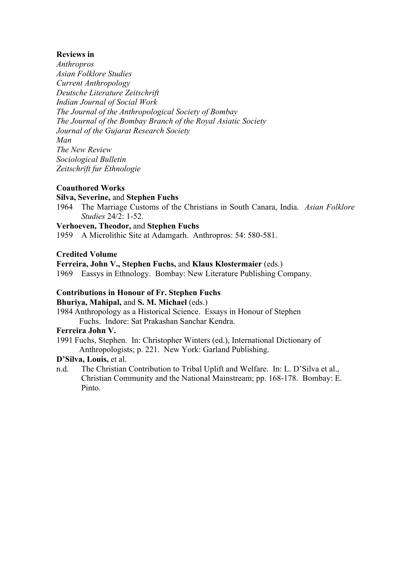### **Reviews in**

*Anthropros Asian Folklore Studies Current Anthropology Deutsche Literature Zeitschrift Indian Journal of Social Work The Journal of the Anthropological Society of Bombay The Journal of the Bombay Branch of the Royal Asiatic Society Journal of the Gujarat Research Society Man The New Review Sociological Bulletin Zeitschrift fur Ethnologie*

#### **Coauthored Works**

#### **Silva, Severine,** and **Stephen Fuchs**

1964 The Marriage Customs of the Christians in South Canara, India. *Asian Folklore Studies* 24/2: 1-52.

#### **Verhoeven, Theodor,** and **Stephen Fuchs**

1959 A Microlithic Site at Adamgarh. Anthropros: 54: 580-581.

#### **Credited Volume**

#### **Ferreira, John V., Stephen Fuchs,** and **Klaus Klostermaier** (eds.)

1969 Eassys in Ethnology. Bombay: New Literature Publishing Company.

#### **Contributions in Honour of Fr. Stephen Fuchs**

#### **Bhuriya, Mahipal,** and **S. M. Michael** (eds.)

1984 Anthropology as a Historical Science. Essays in Honour of Stephen Fuchs. Indore: Sat Prakashan Sanchar Kendra.

#### **Ferreira John V.**

1991 Fuchs, Stephen. In: Christopher Winters (ed.), International Dictionary of Anthropologists; p. 221. New York: Garland Publishing.

#### **D'Silva, Louis,** et al.

n.d. The Christian Contribution to Tribal Uplift and Welfare. In: L. D'Silva et al., Christian Community and the National Mainstream; pp. 168-178. Bombay: E. Pinto.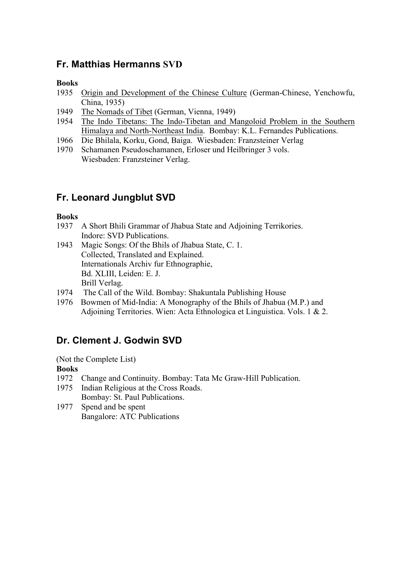# **Fr. Matthias Hermanns SVD**

### **Books**

- 1935 Origin and Development of the Chinese Culture (German-Chinese, Yenchowfu, China, 1935)
- 1949 The Nomads of Tibet (German, Vienna, 1949)
- 1954 The Indo Tibetans: The Indo-Tibetan and Mangoloid Problem in the Southern Himalaya and North-Northeast India. Bombay: K.L. Fernandes Publications.
- 1966 Die Bhilala, Korku, Gond, Baiga. Wiesbaden: Franzsteiner Verlag
- 1970 Schamanen Pseudoschamanen, Erloser und Heilbringer 3 vols. Wiesbaden: Franzsteiner Verlag.

# **Fr. Leonard Jungblut SVD**

### **Books**

- 1937 A Short Bhili Grammar of Jhabua State and Adjoining Terrikories. Indore: SVD Publications.
- 1943 Magic Songs: Of the Bhils of Jhabua State, C. 1. Collected, Translated and Explained. Internationals Archiv fur Ethnographie, Bd. XLIII, Leiden: E. J. Brill Verlag.
- 1974 The Call of the Wild. Bombay: Shakuntala Publishing House
- 1976 Bowmen of Mid-India: A Monography of the Bhils of Jhabua (M.P.) and Adjoining Territories. Wien: Acta Ethnologica et Linguistica. Vols. 1 & 2.

# **Dr. Clement J. Godwin SVD**

(Not the Complete List)

### **Books**

- 1972 Change and Continuity. Bombay: Tata Mc Graw-Hill Publication.
- 1975 Indian Religious at the Cross Roads. Bombay: St. Paul Publications.
- 1977 Spend and be spent Bangalore: ATC Publications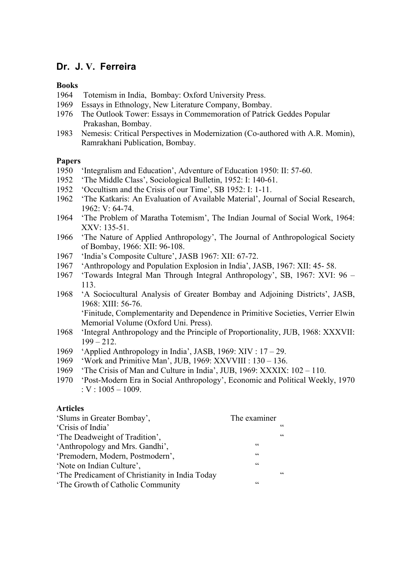## **Dr. J. V. Ferreira**

#### **Books**

- 1964 Totemism in India, Bombay: Oxford University Press.
- 1969 Essays in Ethnology, New Literature Company, Bombay.
- 1976 The Outlook Tower: Essays in Commemoration of Patrick Geddes Popular Prakashan, Bombay.
- 1983 Nemesis: Critical Perspectives in Modernization (Co-authored with A.R. Momin), Ramrakhani Publication, Bombay.

#### **Papers**

- 1950 'Integralism and Education', Adventure of Education 1950: II: 57-60.
- 1952 'The Middle Class', Sociological Bulletin, 1952: I: 140-61.
- 1952 'Occultism and the Crisis of our Time', SB 1952: I: 1-11.
- 1962 'The Katkaris: An Evaluation of Available Material', Journal of Social Research,  $1962 \cdot V \cdot 64 - 74$
- 1964 'The Problem of Maratha Totemism', The Indian Journal of Social Work, 1964: XXV: 135-51.
- 1966 'The Nature of Applied Anthropology', The Journal of Anthropological Society of Bombay, 1966: XII: 96-108.
- 1967 'India's Composite Culture', JASB 1967: XII: 67-72.
- 1967 'Anthropology and Population Explosion in India', JASB, 1967: XII: 45- 58.
- 1967 'Towards Integral Man Through Integral Anthropology', SB, 1967: XVI: 96 113.
- 1968 'A Sociocultural Analysis of Greater Bombay and Adjoining Districts', JASB, 1968: XIII: 56-76.

'Finitude, Complementarity and Dependence in Primitive Societies, Verrier Elwin Memorial Volume (Oxford Uni. Press).

- 1968 'Integral Anthropology and the Principle of Proportionality, JUB, 1968: XXXVII:  $199 - 212$ .
- 1969 'Applied Anthropology in India', JASB, 1969: XIV : 17 29.
- 1969 'Work and Primitive Man', JUB, 1969: XXVVIII : 130 136.
- 1969 'The Crisis of Man and Culture in India', JUB, 1969: XXXIX: 102 110.
- 1970 'Post-Modern Era in Social Anthropology', Economic and Political Weekly, 1970 :  $V : 1005 - 1009$ .

#### **Articles**

| 'Slums in Greater Bombay',                      | The examiner |            |
|-------------------------------------------------|--------------|------------|
| 'Crisis of India'                               |              | cc         |
| 'The Deadweight of Tradition',                  |              | $\epsilon$ |
| 'Anthropology and Mrs. Gandhi',                 | $\epsilon$   |            |
| 'Premodern, Modern, Postmodern',                | cc           |            |
| 'Note on Indian Culture',                       | cc           |            |
| 'The Predicament of Christianity in India Today |              | $\epsilon$ |
| 'The Growth of Catholic Community               | $\epsilon$   |            |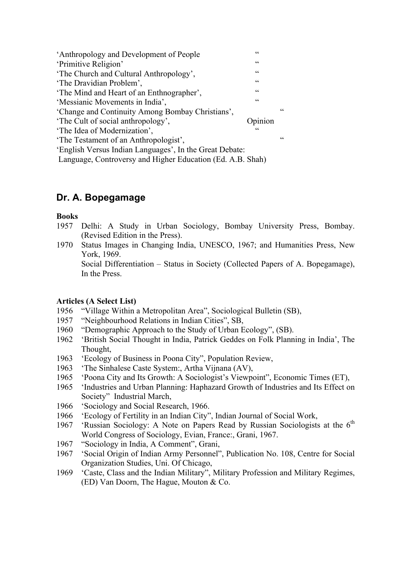| 'Anthropology and Development of People                    | $\epsilon$     |            |
|------------------------------------------------------------|----------------|------------|
| 'Primitive Religion'                                       | $\zeta\,\zeta$ |            |
| 'The Church and Cultural Anthropology',                    | $\epsilon$     |            |
| 'The Dravidian Problem',                                   | C C            |            |
| 'The Mind and Heart of an Enthnographer',                  | $\zeta\,\zeta$ |            |
| 'Messianic Movements in India',                            | C C            |            |
| 'Change and Continuity Among Bombay Christians',           |                | $\epsilon$ |
| 'The Cult of social anthropology',                         | pinion         |            |
| 'The Idea of Modernization',                               | $\epsilon$     |            |
| 'The Testament of an Anthropologist',                      |                | cc         |
| 'English Versus Indian Languages', In the Great Debate:    |                |            |
| Language, Controversy and Higher Education (Ed. A.B. Shah) |                |            |

# **Dr. A. Bopegamage**

### **Books**

- 1957 Delhi: A Study in Urban Sociology, Bombay University Press, Bombay. (Revised Edition in the Press).
- 1970 Status Images in Changing India, UNESCO, 1967; and Humanities Press, New York, 1969.

Social Differentiation – Status in Society (Collected Papers of A. Bopegamage), In the Press.

### **Articles (A Select List)**

- 1956 "Village Within a Metropolitan Area", Sociological Bulletin (SB),
- 1957 "Neighbourhood Relations in Indian Cities", SB,
- 1960 "Demographic Approach to the Study of Urban Ecology", (SB).
- 1962 'British Social Thought in India, Patrick Geddes on Folk Planning in India', The Thought,
- 1963 'Ecology of Business in Poona City", Population Review,
- 1963 'The Sinhalese Caste System:, Artha Vijnana (AV),
- 1965 'Poona City and Its Growth: A Sociologist's Viewpoint", Economic Times (ET),
- 1965 'Industries and Urban Planning: Haphazard Growth of Industries and Its Effect on Society" Industrial March,
- 1966 'Sociology and Social Research, 1966.
- 1966 'Ecology of Fertility in an Indian City", Indian Journal of Social Work,
- 1967 'Russian Sociology: A Note on Papers Read by Russian Sociologists at the  $6<sup>th</sup>$ World Congress of Sociology, Evian, France:, Grani, 1967.
- 1967 "Sociology in India, A Comment", Grani,
- 1967 'Social Origin of Indian Army Personnel", Publication No. 108, Centre for Social Organization Studies, Uni. Of Chicago,
- 1969 'Caste, Class and the Indian Military", Military Profession and Military Regimes, (ED) Van Doorn, The Hague, Mouton & Co.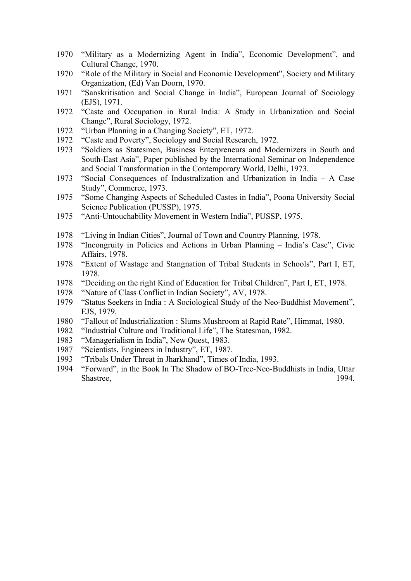- "Military as a Modernizing Agent in India", Economic Development", and Cultural Change, 1970.
- "Role of the Military in Social and Economic Development", Society and Military Organization, (Ed) Van Doorn, 1970.
- "Sanskritisation and Social Change in India", European Journal of Sociology (EJS), 1971.
- "Caste and Occupation in Rural India: A Study in Urbanization and Social Change", Rural Sociology, 1972.
- "Urban Planning in a Changing Society", ET, 1972.
- "Caste and Poverty", Sociology and Social Research, 1972.
- "Soldiers as Statesmen, Business Enterpreneurs and Modernizers in South and South-East Asia", Paper published by the International Seminar on Independence and Social Transformation in the Contemporary World, Delhi, 1973.
- "Social Consequences of Industralization and Urbanization in India A Case Study", Commerce, 1973.
- "Some Changing Aspects of Scheduled Castes in India", Poona University Social Science Publication (PUSSP), 1975.
- "Anti-Untouchability Movement in Western India", PUSSP, 1975.
- "Living in Indian Cities", Journal of Town and Country Planning, 1978.
- "Incongruity in Policies and Actions in Urban Planning India's Case", Civic Affairs, 1978.
- "Extent of Wastage and Stangnation of Tribal Students in Schools", Part I, ET, 1978.
- "Deciding on the right Kind of Education for Tribal Children", Part I, ET, 1978.
- "Nature of Class Conflict in Indian Society", AV, 1978.
- "Status Seekers in India : A Sociological Study of the Neo-Buddhist Movement", EJS, 1979.
- "Fallout of Industrialization : Slums Mushroom at Rapid Rate", Himmat, 1980.
- "Industrial Culture and Traditional Life", The Statesman, 1982.
- "Managerialism in India", New Quest, 1983.
- "Scientists, Engineers in Industry", ET, 1987.
- "Tribals Under Threat in Jharkhand", Times of India, 1993.
- "Forward", in the Book In The Shadow of BO-Tree-Neo-Buddhists in India, Uttar Shastree, 1994.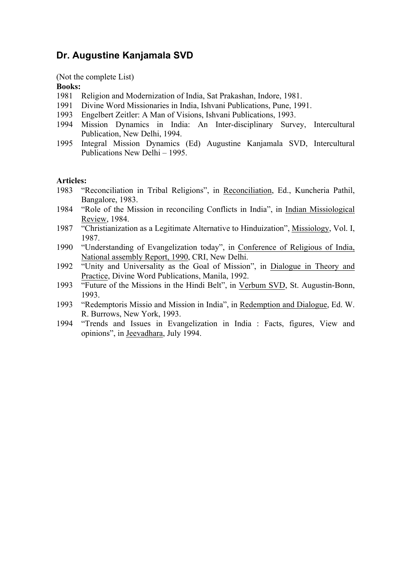## **Dr. Augustine Kanjamala SVD**

(Not the complete List)

#### **Books:**

- 1981 Religion and Modernization of India, Sat Prakashan, Indore, 1981.
- 1991 Divine Word Missionaries in India, Ishvani Publications, Pune, 1991.
- 1993 Engelbert Zeitler: A Man of Visions, Ishvani Publications, 1993.
- 1994 Mission Dynamics in India: An Inter-disciplinary Survey, Intercultural Publication, New Delhi, 1994.
- 1995 Integral Mission Dynamics (Ed) Augustine Kanjamala SVD, Intercultural Publications New Delhi – 1995.

#### **Articles:**

- 1983 "Reconciliation in Tribal Religions", in Reconciliation, Ed., Kuncheria Pathil, Bangalore, 1983.
- 1984 "Role of the Mission in reconciling Conflicts in India", in Indian Missiological Review, 1984.
- 1987 "Christianization as a Legitimate Alternative to Hinduization", Missiology, Vol. I, 1987.
- 1990 "Understanding of Evangelization today", in Conference of Religious of India, National assembly Report, 1990, CRI, New Delhi.
- 1992 "Unity and Universality as the Goal of Mission", in Dialogue in Theory and Practice, Divine Word Publications, Manila, 1992.
- 1993 "Future of the Missions in the Hindi Belt", in Verbum SVD, St. Augustin-Bonn, 1993.
- 1993 "Redemptoris Missio and Mission in India", in Redemption and Dialogue, Ed. W. R. Burrows, New York, 1993.
- 1994 "Trends and Issues in Evangelization in India : Facts, figures, View and opinions", in Jeevadhara, July 1994.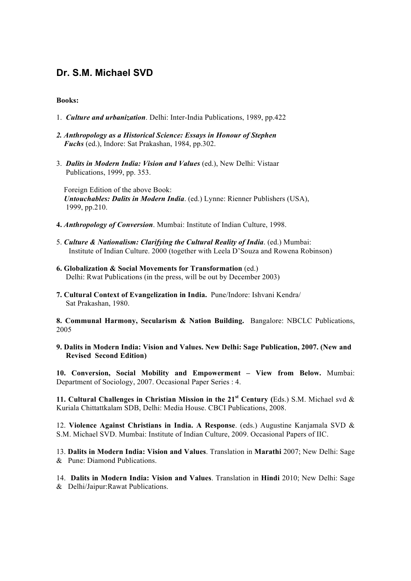# **Dr. S.M. Michael SVD**

#### **Books:**

- 1. *Culture and urbanization*. Delhi: Inter-India Publications, 1989, pp.422
- *2. Anthropology as a Historical Science: Essays in Honour of Stephen Fuchs* (ed.), Indore: Sat Prakashan, 1984, pp.302.
- 3. *Dalits in Modern India: Vision and Values* (ed.), New Delhi: Vistaar Publications, 1999, pp. 353.

 Foreign Edition of the above Book: *Untouchables: Dalits in Modern India*. (ed.) Lynne: Rienner Publishers (USA), 1999, pp.210.

- **4.** *Anthropology of Conversion*. Mumbai: Institute of Indian Culture, 1998.
- 5. *Culture & Nationalism: Clarifying the Cultural Reality of India*. (ed.) Mumbai: Institute of Indian Culture. 2000 (together with Leela D'Souza and Rowena Robinson)
- **6. Globalization & Social Movements for Transformation** (ed.) Delhi: Rwat Publications (in the press, will be out by December 2003)
- **7. Cultural Context of Evangelization in India.** Pune/Indore: Ishvani Kendra/ Sat Prakashan, 1980.

**8. Communal Harmony, Secularism & Nation Building.** Bangalore: NBCLC Publications, 2005

**9. Dalits in Modern India: Vision and Values. New Delhi: Sage Publication, 2007. (New and Revised Second Edition)**

**10. Conversion, Social Mobility and Empowerment – View from Below.** Mumbai: Department of Sociology, 2007. Occasional Paper Series : 4.

**11. Cultural Challenges in Christian Mission in the 21st Century (**Eds.) S.M. Michael svd & Kuriala Chittattkalam SDB, Delhi: Media House. CBCI Publications, 2008.

12. **Violence Against Christians in India. A Response**. (eds.) Augustine Kanjamala SVD & S.M. Michael SVD. Mumbai: Institute of Indian Culture, 2009. Occasional Papers of IIC.

13. **Dalits in Modern India: Vision and Values**. Translation in **Marathi** 2007; New Delhi: Sage & Pune: Diamond Publications.

14. **Dalits in Modern India: Vision and Values**. Translation in **Hindi** 2010; New Delhi: Sage & Delhi/Jaipur:Rawat Publications.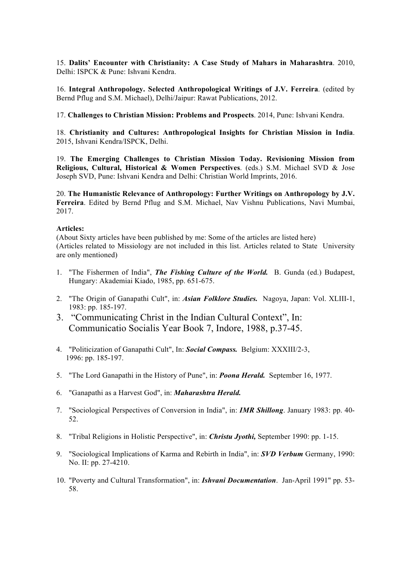15. **Dalits' Encounter with Christianity: A Case Study of Mahars in Maharashtra**. 2010, Delhi: ISPCK & Pune: Ishvani Kendra.

16. **Integral Anthropology. Selected Anthropological Writings of J.V. Ferreira**. (edited by Bernd Pflug and S.M. Michael), Delhi/Jaipur: Rawat Publications, 2012.

17. **Challenges to Christian Mission: Problems and Prospects**. 2014, Pune: Ishvani Kendra.

18. **Christianity and Cultures: Anthropological Insights for Christian Mission in India**. 2015, Ishvani Kendra/ISPCK, Delhi.

19. **The Emerging Challenges to Christian Mission Today. Revisioning Mission from Religious, Cultural, Historical & Women Perspectives**. (eds.) S.M. Michael SVD & Jose Joseph SVD, Pune: Ishvani Kendra and Delhi: Christian World Imprints, 2016.

20. **The Humanistic Relevance of Anthropology: Further Writings on Anthropology by J.V. Ferreira**. Edited by Bernd Pflug and S.M. Michael, Nav Vishnu Publications, Navi Mumbai, 2017.

#### **Articles:**

(About Sixty articles have been published by me: Some of the articles are listed here) (Articles related to Missiology are not included in this list. Articles related to State University are only mentioned)

- 1. "The Fishermen of India", *The Fishing Culture of the World.* B. Gunda (ed.) Budapest, Hungary: Akademiai Kiado, 1985, pp. 651-675.
- 2. "The Origin of Ganapathi Cult", in: *Asian Folklore Studies.* Nagoya, Japan: Vol. XLIII-1, 1983: pp. 185-197.
- 3. "Communicating Christ in the Indian Cultural Context", In: Communicatio Socialis Year Book 7, Indore, 1988, p.37-45.
- 4. "Politicization of Ganapathi Cult", In: *Social Compass.* Belgium: XXXIII/2-3, 1996: pp. 185-197.
- 5. "The Lord Ganapathi in the History of Pune", in: *Poona Herald.* September 16, 1977.
- 6. "Ganapathi as a Harvest God", in: *Maharashtra Herald.*
- 7. "Sociological Perspectives of Conversion in India", in: *IMR Shillong*. January 1983: pp. 40- 52.
- 8. "Tribal Religions in Holistic Perspective", in: *Christu Jyothi,* September 1990: pp. 1-15.
- 9. "Sociological Implications of Karma and Rebirth in India", in: *SVD Verbum* Germany, 1990: No. II: pp. 27-4210.
- 10. "Poverty and Cultural Transformation", in: *Ishvani Documentation*. Jan-April 1991" pp. 53- 58.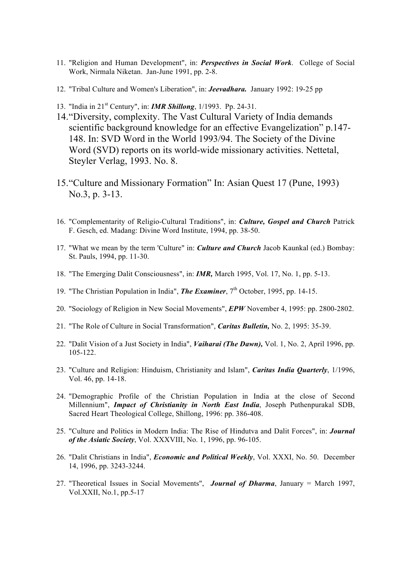- 11. "Religion and Human Development", in: *Perspectives in Social Work*. College of Social Work, Nirmala Niketan. Jan-June 1991, pp. 2-8.
- 12. "Tribal Culture and Women's Liberation", in: *Jeevadhara.* January 1992: 19-25 pp
- 13. "India in 21st Century", in: *IMR Shillong*, 1/1993. Pp. 24-31.
- 14."Diversity, complexity. The Vast Cultural Variety of India demands scientific background knowledge for an effective Evangelization" p.147- 148. In: SVD Word in the World 1993/94. The Society of the Divine Word (SVD) reports on its world-wide missionary activities. Nettetal, Steyler Verlag, 1993. No. 8.
- 15."Culture and Missionary Formation" In: Asian Quest 17 (Pune, 1993) No.3, p. 3-13.
- 16. "Complementarity of Religio-Cultural Traditions", in: *Culture, Gospel and Church* Patrick F. Gesch, ed. Madang: Divine Word Institute, 1994, pp. 38-50.
- 17. "What we mean by the term 'Culture" in: *Culture and Church* Jacob Kaunkal (ed.) Bombay: St. Pauls, 1994, pp. 11-30.
- 18. "The Emerging Dalit Consciousness", in: *IMR,* March 1995, Vol. 17, No. 1, pp. 5-13.
- 19. "The Christian Population in India", **The Examiner**, 7<sup>th</sup> October, 1995, pp. 14-15.
- 20. "Sociology of Religion in New Social Movements", *EPW* November 4, 1995: pp. 2800-2802.
- 21. "The Role of Culture in Social Transformation", *Caritas Bulletin,* No. 2, 1995: 35-39.
- 22. "Dalit Vision of a Just Society in India", *Vaiharai (The Dawn),* Vol. 1, No. 2, April 1996, pp. 105-122.
- 23. "Culture and Religion: Hinduism, Christianity and Islam", *Caritas India Quarterly*, 1/1996, Vol. 46, pp. 14-18.
- 24. "Demographic Profile of the Christian Population in India at the close of Second Millennium", *Impact of Christianity in North East India*, Joseph Puthenpurakal SDB, Sacred Heart Theological College, Shillong, 1996: pp. 386-408.
- 25. "Culture and Politics in Modern India: The Rise of Hindutva and Dalit Forces", in: *Journal of the Asiatic Society*, Vol. XXXVIII, No. 1, 1996, pp. 96-105.
- 26. "Dalit Christians in India", *Economic and Political Weekly*, Vol. XXXI, No. 50. December 14, 1996, pp. 3243-3244.
- 27. "Theoretical Issues in Social Movements", *Journal of Dharma*, January = March 1997, Vol.XXII, No.1, pp.5-17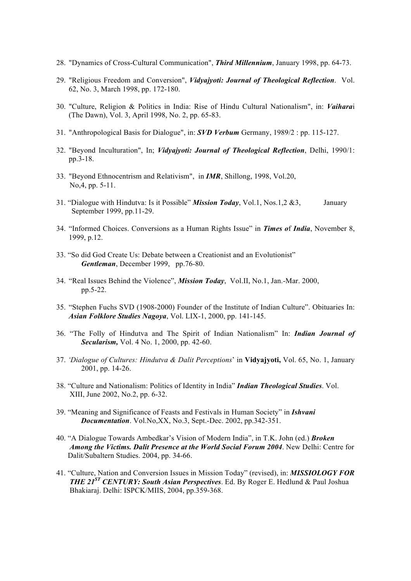- 28. "Dynamics of Cross-Cultural Communication", *Third Millennium*, January 1998, pp. 64-73.
- 29. "Religious Freedom and Conversion", *Vidyajyoti: Journal of Theological Reflection*. Vol. 62, No. 3, March 1998, pp. 172-180.
- 30. "Culture, Religion & Politics in India: Rise of Hindu Cultural Nationalism", in: *Vaihara*i (The Dawn), Vol. 3, April 1998, No. 2, pp. 65-83.
- 31. "Anthropological Basis for Dialogue", in: *SVD Verbum* Germany, 1989/2 : pp. 115-127.
- 32. "Beyond Inculturation", In; *Vidyajyoti: Journal of Theological Reflection*, Delhi, 1990/1: pp.3-18.
- 33. "Beyond Ethnocentrism and Relativism", in *IMR*, Shillong, 1998, Vol.20, No,4, pp. 5-11.
- 31. "Dialogue with Hindutva: Is it Possible" *Mission Today*, Vol.1, Nos.1,2 &3, January September 1999, pp.11-29.
- 34. "Informed Choices. Conversions as a Human Rights Issue" in *Times o*f *India*, November 8, 1999, p.12.
- 33. "So did God Create Us: Debate between a Creationist and an Evolutionist" *Gentleman*, December 1999, pp.76-80.
- 34. "Real Issues Behind the Violence", *Mission Today*, Vol.II, No.1, Jan.-Mar. 2000, pp.5-22.
- 35. "Stephen Fuchs SVD (1908-2000) Founder of the Institute of Indian Culture". Obituaries In: *Asian Folklore Studies Nagoya*, Vol. LIX-1, 2000, pp. 141-145.
- 36. "The Folly of Hindutva and The Spirit of Indian Nationalism" In: *Indian Journal of Secularism,* Vol. 4 No. 1, 2000, pp. 42-60.
- 37. *'Dialogue of Cultures: Hindutva & Dalit Perceptions*' in **Vidyajyoti,** Vol. 65, No. 1, January 2001, pp. 14-26.
- 38. "Culture and Nationalism: Politics of Identity in India" *Indian Theological Studies*. Vol. XIII, June 2002, No.2, pp. 6-32.
- 39. "Meaning and Significance of Feasts and Festivals in Human Society" in *Ishvani Documentation*. Vol.No,XX, No.3, Sept.-Dec. 2002, pp.342-351.
- 40. "A Dialogue Towards Ambedkar's Vision of Modern India", in T.K. John (ed.) *Broken Among the Victims. Dalit Presence at the World Social Forum 2004*. New Delhi: Centre for Dalit/Subaltern Studies. 2004, pp. 34-66.
- 41. "Culture, Nation and Conversion Issues in Mission Today" (revised), in: *MISSIOLOGY FOR THE 21ST CENTURY: South Asian Perspectives*. Ed. By Roger E. Hedlund & Paul Joshua Bhakiaraj. Delhi: ISPCK/MIIS, 2004, pp.359-368.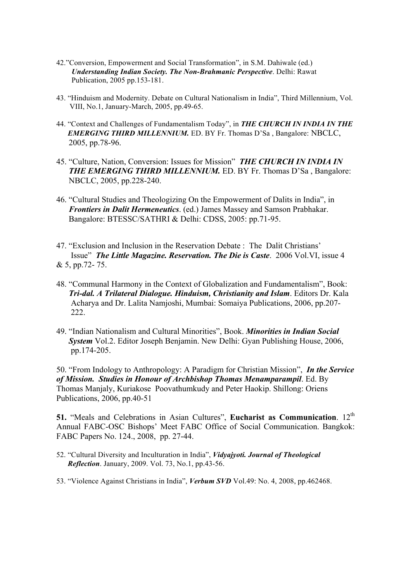- 42."Conversion, Empowerment and Social Transformation", in S.M. Dahiwale (ed.)  *Understanding Indian Society. The Non-Brahmanic Perspective*. Delhi: Rawat Publication, 2005 pp.153-181.
- 43. "Hinduism and Modernity. Debate on Cultural Nationalism in India", Third Millennium, Vol. VIII, No.1, January-March, 2005, pp.49-65.
- 44. "Context and Challenges of Fundamentalism Today", in *THE CHURCH IN INDIA IN THE EMERGING THIRD MILLENNIUM.* ED. BY Fr. Thomas D'Sa , Bangalore: NBCLC, 2005, pp.78-96.
- 45. "Culture, Nation, Conversion: Issues for Mission" *THE CHURCH IN INDIA IN THE EMERGING THIRD MILLENNIUM.* ED. BY Fr. Thomas D'Sa , Bangalore: NBCLC, 2005, pp.228-240.
- 46. "Cultural Studies and Theologizing On the Empowerment of Dalits in India", in *Frontiers in Dalit Hermeneutics*. (ed.) James Massey and Samson Prabhakar. Bangalore: BTESSC/SATHRI & Delhi: CDSS, 2005: pp.71-95.
- 47. "Exclusion and Inclusion in the Reservation Debate : The Dalit Christians' Issue" *The Little Magazine. Reservation. The Die is Caste*. 2006 Vol.VI, issue 4 & 5, pp.72- 75.
- 48. "Communal Harmony in the Context of Globalization and Fundamentalism", Book: *Tri-dal. A Trilateral Dialogue. Hinduism, Christianity and Islam*. Editors Dr. Kala Acharya and Dr. Lalita Namjoshi, Mumbai: Somaiya Publications, 2006, pp.207- 222.
- 49. "Indian Nationalism and Cultural Minorities", Book. *Minorities in Indian Social System* Vol.2. Editor Joseph Benjamin. New Delhi: Gyan Publishing House, 2006, pp.174-205.

50. "From Indology to Anthropology: A Paradigm for Christian Mission", *In the Service of Mission. Studies in Honour of Archbishop Thomas Menamparampil*. Ed. By Thomas Manjaly, Kuriakose Poovathumkudy and Peter Haokip. Shillong: Oriens Publications, 2006, pp.40-51

**51.** "Meals and Celebrations in Asian Cultures", **Eucharist as Communication**. 12<sup>th</sup> Annual FABC-OSC Bishops' Meet FABC Office of Social Communication. Bangkok: FABC Papers No. 124., 2008, pp. 27-44.

- 52. "Cultural Diversity and Inculturation in India", *Vidyajyoti. Journal of Theological Reflection*. January, 2009. Vol. 73, No.1, pp.43-56.
- 53. "Violence Against Christians in India", *Verbum SVD* Vol.49: No. 4, 2008, pp.462468.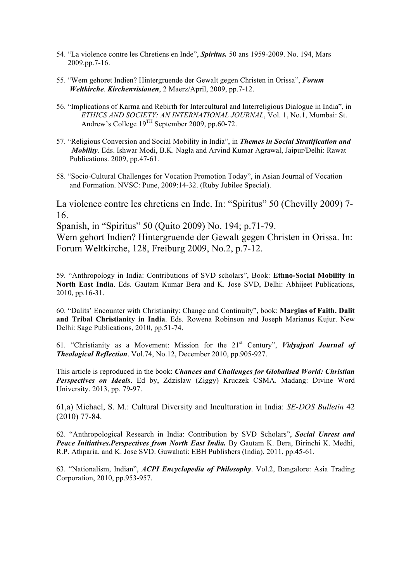- 54. "La violence contre les Chretiens en Inde", *Spiritus.* 50 ans 1959-2009. No. 194, Mars 2009.pp.7-16.
- 55. "Wem gehoret Indien? Hintergruende der Gewalt gegen Christen in Orissa", *Forum Weltkirche*. *Kirchenvisionen*, 2 Maerz/April, 2009, pp.7-12.
- 56. "Implications of Karma and Rebirth for Intercultural and Interreligious Dialogue in India", in *ETHICS AND SOCIETY: AN INTERNATIONAL JOURNAL*, Vol. 1, No.1, Mumbai: St. Andrew's College 19TH September 2009, pp.60-72.
- 57. "Religious Conversion and Social Mobility in India", in *Themes in Social Stratification and Mobility*. Eds. Ishwar Modi, B.K. Nagla and Arvind Kumar Agrawal, Jaipur/Delhi: Rawat Publications. 2009, pp.47-61.
- 58. "Socio-Cultural Challenges for Vocation Promotion Today", in Asian Journal of Vocation and Formation. NVSC: Pune, 2009:14-32. (Ruby Jubilee Special).

La violence contre les chretiens en Inde. In: "Spiritus" 50 (Chevilly 2009) 7- 16.

Spanish, in "Spiritus" 50 (Quito 2009) No. 194; p.71-79.

Wem gehort Indien? Hintergruende der Gewalt gegen Christen in Orissa. In: Forum Weltkirche, 128, Freiburg 2009, No.2, p.7-12.

59. "Anthropology in India: Contributions of SVD scholars", Book: **Ethno-Social Mobility in North East India**. Eds. Gautam Kumar Bera and K. Jose SVD, Delhi: Abhijeet Publications, 2010, pp.16-31.

60. "Dalits' Encounter with Christianity: Change and Continuity", book: **Margins of Faith. Dalit and Tribal Christianity in India**. Eds. Rowena Robinson and Joseph Marianus Kujur. New Delhi: Sage Publications, 2010, pp.51-74.

61. "Christianity as a Movement: Mission for the 21st Century", *Vidyajyoti Journal of Theological Reflection*. Vol.74, No.12, December 2010, pp.905-927.

This article is reproduced in the book: *Chances and Challenges for Globalised World: Christian Perspectives on Ideals*. Ed by, Zdzislaw (Ziggy) Kruczek CSMA. Madang: Divine Word University. 2013, pp. 79-97.

61,a) Michael, S. M.: Cultural Diversity and Inculturation in India: *SE-DOS Bulletin* 42 (2010) 77-84.

62. "Anthropological Research in India: Contribution by SVD Scholars", *Social Unrest and Peace Initiatives.Perspectives from North East India.* By Gautam K. Bera, Birinchi K. Medhi, R.P. Athparia, and K. Jose SVD. Guwahati: EBH Publishers (India), 2011, pp.45-61.

63. "Nationalism, Indian", *ACPI Encyclopedia of Philosophy*. Vol.2, Bangalore: Asia Trading Corporation, 2010, pp.953-957.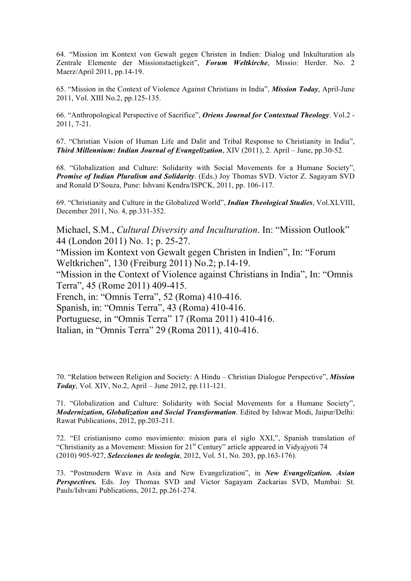64. "Mission im Kontext von Gewalt gegen Christen in Indien: Dialog und Inkulturation als Zentrale Elemente der Missionstaetigkeit", *Forum Weltkirche*, Missio: Herder. No. 2 Maerz/April 2011, pp.14-19.

65. "Mission in the Context of Violence Against Christians in India", *Mission Today*, April-June 2011, Vol. XIII No.2, pp.125-135.

66. "Anthropological Perspective of Sacrifice", *Oriens Journal for Contextual Theology*. Vol.2 - 2011, 7-21.

67. "Christian Vision of Human Life and Dalit and Tribal Response to Christianity in India", *Third Millennium: Indian Journal of Evangelization*, XIV (2011), 2. April – June, pp.30-52.

68. "Globalization and Culture: Solidarity with Social Movements for a Humane Society", *Promise of Indian Pluralism and Solidarity*. (Eds.) Joy Thomas SVD. Victor Z. Sagayam SVD and Ronald D'Souza, Pune: Ishvani Kendra/ISPCK, 2011, pp. 106-117.

69. "Christianity and Culture in the Globalized World", *Indian Theological Studies*, Vol.XLVIII, December 2011, No. 4, pp.331-352.

Michael, S.M., *Cultural Diversity and Inculturation*. In: "Mission Outlook" 44 (London 2011) No. 1; p. 25-27.

"Mission im Kontext von Gewalt gegen Christen in Indien", In: "Forum Weltkrichen", 130 (Freiburg 2011) No.2; p.14-19.

"Mission in the Context of Violence against Christians in India", In: "Omnis Terra", 45 (Rome 2011) 409-415.

French, in: "Omnis Terra", 52 (Roma) 410-416.

Spanish, in: "Omnis Terra", 43 (Roma) 410-416.

Portuguese, in "Omnis Terra" 17 (Roma 2011) 410-416.

Italian, in "Omnis Terra" 29 (Roma 2011), 410-416.

70. "Relation between Religion and Society: A Hindu – Christian Dialogue Perspective", *Mission Today*, Vol. XIV, No.2, April – June 2012, pp.111-121.

71. "Globalization and Culture: Solidarity with Social Movements for a Humane Society", *Modernization, Globalization and Social Transformation*. Edited by Ishwar Modi, Jaipur/Delhi: Rawat Publications, 2012, pp.203-211.

72. "El cristianismo como movimiento: mision para el siglo XXI,", Spanish translation of "Christianity as a Movement: Mission for 21st Century" article appeared in Vidyajyoti 74 (2010) 905-927, *Selecciones de teologia*, 2012, Vol. 51, No. 203, pp.163-176).

73. "Postmodern Wave in Asia and New Evangelization", in *New Evangelization. Asian Perspectives.* Eds. Joy Thomas SVD and Victor Sagayam Zackarias SVD, Mumbai: St. Pauls/Ishvani Publications, 2012, pp.261-274.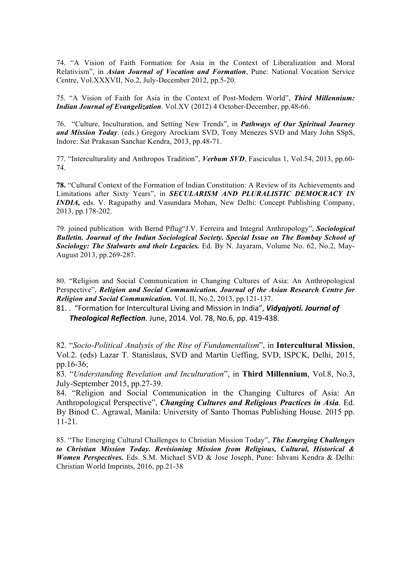74. "A Vision of Faith Formation for Asia in the Context of Liberalization and Moral Relativism", in *Asian Journal of Vocation and Formation*, Pune: National Vocation Service Centre, Vol.XXXVII, No.2, July-December 2012, pp.5-20.

75. "A Vision of Faith for Asia in the Context of Post-Modern World", *Third Millennium: Indian Journal of Evangelization*. Vol.XV (2012) 4 October-December, pp.48-66.

76. "Culture, Inculturation, and Setting New Trends", in *Pathways of Our Spiritual Journey and Mission Today*. (eds.) Gregory Arockiam SVD, Tony Menezes SVD and Mary John SSpS, Indore: Sat Prakasan Sanchar Kendra, 2013, pp.48-71.

77. "Interculturality and Anthropos Tradition", *Verbum SVD*, Fasciculus 1, Vol.54, 2013, pp.60- 74.

**78.** "Cultural Context of the Formation of Indian Constitution: A Review of its Achievements and Limitations after Sixty Years", in *SECULARISM AND PLURALISTIC DEMOCRACY IN INDIA,* eds. V. Ragupathy and Vasundara Mohan, New Delhi: Concept Publishing Company, 2013, pp.178-202.

79. joined publication with Bernd Pflug"J.V. Ferreira and Integral Anthropology", *Sociological Bulletin. Journal of the Indian Sociological Society. Special Issue on The Bombay School of Sociology: The Stalwarts and their Legacies.* Ed. By N. Jayaram, Volume No. 62, No.2, May-August 2013, pp.269-287.

80. "Religion and Social Communication in Changing Cultures of Asia: An Anthropological Perspective", *Religion and Social Communication. Journal of the Asian Research Centre for Religion and Social Communication.* Vol. II, No.2, 2013, pp.121-137.

81. . "Formation for Intercultural Living and Mission in India", *Vidyajyoti. Journal of* **Theological Reflection**. June, 2014. Vol. 78, No.6, pp. 419-438.

82. "*Socio-Political Analysis of the Rise of Fundamentalism*", in **Intercultural Mission**, Vol.2. (eds) Lazar T. Stanislaus, SVD and Martin Ueffing, SVD, ISPCK, Delhi, 2015, pp.16-36;

83. "*Understanding Revelation and Inculturation*", in **Third Millennium**, Vol.8, No.3, July-September 2015, pp.27-39.

84. "Religion and Social Communication in the Changing Cultures of Asia: An Anthropological Perspective", *Changing Cultures and Religious Practices in Asia*. Ed. By Binod C. Agrawal, Manila: University of Santo Thomas Publishing House. 2015 pp. 11-21.

85. "The Emerging Cultural Challenges to Christian Mission Today", *The Emerging Challenges to Christian Mission Today. Revisioning Mission from Religious, Cultural, Historical & Women Perspectives.* Eds. S.M. Michael SVD & Jose Joseph, Pune: Ishvani Kendra & Delhi: Christian World Imprints, 2016, pp.21-38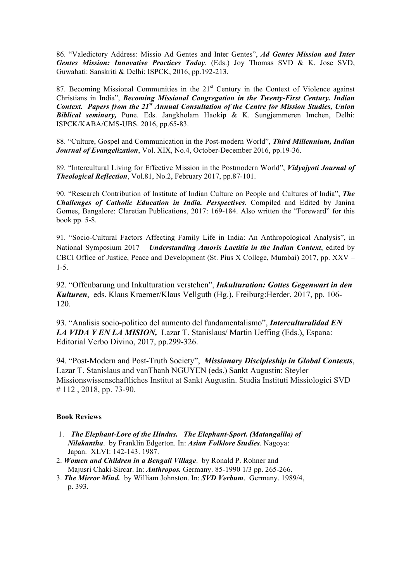86. "Valedictory Address: Missio Ad Gentes and Inter Gentes", *Ad Gentes Mission and Inter Gentes Mission: Innovative Practices Today*. (Eds.) Joy Thomas SVD & K. Jose SVD, Guwahati: Sanskriti & Delhi: ISPCK, 2016, pp.192-213.

87. Becoming Missional Communities in the 21<sup>st</sup> Century in the Context of Violence against Christians in India", *Becoming Missional Congregation in the Twenty-First Century. Indian Context. Papers from the 21st Annual Consultation of the Centre for Mission Studies, Union Biblical seminary,* Pune. Eds. Jangkholam Haokip & K. Sungjemmeren Imchen, Delhi: ISPCK/KABA/CMS-UBS. 2016, pp.65-83.

88. "Culture, Gospel and Communication in the Post-modern World", *Third Millennium, Indian Journal of Evangelization*, Vol. XIX, No.4, October-December 2016, pp.19-36.

89. "Intercultural Living for Effective Mission in the Postmodern World", *Vidyajyoti Journal of Theological Reflection*, Vol.81, No.2, February 2017, pp.87-101.

90. "Research Contribution of Institute of Indian Culture on People and Cultures of India", *The Challenges of Catholic Education in India. Perspectives*. Compiled and Edited by Janina Gomes, Bangalore: Claretian Publications, 2017: 169-184. Also written the "Foreward" for this book pp. 5-8.

91. "Socio-Cultural Factors Affecting Family Life in India: An Anthropological Analysis", in National Symposium 2017 – *Understanding Amoris Laetitia in the Indian Context*, edited by CBCI Office of Justice, Peace and Development (St. Pius X College, Mumbai) 2017, pp. XXV – 1-5.

92. "Offenbarung und Inkulturation verstehen", *Inkulturation: Gottes Gegenwart in den Kulturen*, eds. Klaus Kraemer/Klaus Vellguth (Hg.), Freiburg:Herder, 2017, pp. 106- 120.

93. "Analisis socio-politico del aumento del fundamentalismo", *Interculturalidad EN LA VIDA Y EN LA MISION,* Lazar T. Stanislaus/ Martin Ueffing (Eds.), Espana: Editorial Verbo Divino, 2017, pp.299-326.

94. "Post-Modern and Post-Truth Society", *Missionary Discipleship in Global Contexts*, Lazar T. Stanislaus and vanThanh NGUYEN (eds.) Sankt Augustin: Steyler Missionswissenschaftliches Institut at Sankt Augustin. Studia Instituti Missiologici SVD # 112 , 2018, pp. 73-90.

#### **Book Reviews**

- 1. *The Elephant-Lore of the Hindus. The Elephant-Sport. (Matangalila) of Nilakantha*. by Franklin Edgerton. In: *Asian Folklore Studies*. Nagoya: Japan. XLVI: 142-143. 1987.
- 2. *Women and Children in a Bengali Village*. by Ronald P. Rohner and Majusri Chaki-Sircar. In: *Anthropos.* Germany. 85-1990 1/3 pp. 265-266.
- 3. *The Mirror Mind.* by William Johnston. In: *SVD Verbum*. Germany. 1989/4, p. 393.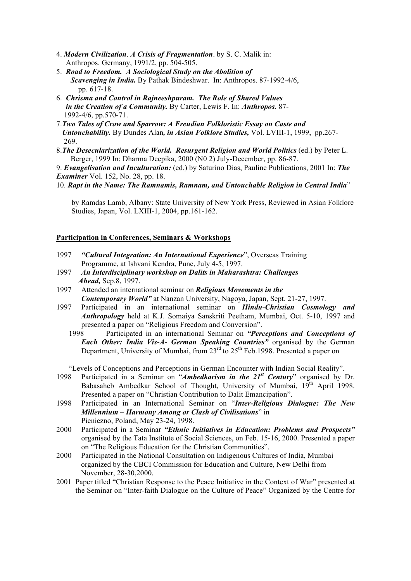- 4. *Modern Civilization*. *A Crisis of Fragmentation*. by S. C. Malik in: Anthropos. Germany, 1991/2, pp. 504-505.
- 5. *Road to Freedom. A Sociological Study on the Abolition of Scavenging in India.* By Pathak Bindeshwar. In: Anthropos. 87-1992-4/6, pp. 617-18.
- 6. *Chrisma and Control in Rajneeshpuram. The Role of Shared Values in the Creation of a Community.* By Carter, Lewis F. In: *Anthropos.* 87- 1992-4/6, pp.570-71.
- 7.*Two Tales of Crow and Sparrow: A Freudian Folkloristic Essay on Caste and Untouchability.* By Dundes Alan*, in Asian Folklore Studies,* Vol. LVIII-1, 1999, pp.267- 269.
- 8.*The Desecularization of the World. Resurgent Religion and World Politics* (ed.) by Peter L. Berger, 1999 In: Dharma Deepika, 2000 (N0 2) July-December, pp. 86-87.

9. *Evangelisation and Inculturation:* (ed.) by Saturino Dias, Pauline Publications, 2001 In: *The Examiner* Vol. 152, No. 28, pp. 18.

10. *Rapt in the Name: The Ramnamis, Ramnam, and Untouchable Religion in Central India*"

 by Ramdas Lamb, Albany: State University of New York Press, Reviewed in Asian Folklore Studies, Japan, Vol. LXIII-1, 2004, pp.161-162.

#### **Participation in Conferences, Seminars & Workshops**

- 1997 *"Cultural Integration: An International Experience*", Overseas Training Programme, at Ishvani Kendra, Pune, July 4-5, 1997.
- 1997 *An Interdisciplinary workshop on Dalits in Maharashtra: Challenges Ahead,* Sep.8, 1997.
- 1997 Attended an international seminar on *Religious Movements in the Contemporary World"* at Nanzan University, Nagoya, Japan, Sept. 21-27, 1997.
- 1997 Participated in an international seminar on *Hindu-Christian Cosmology and Anthropology* held at K.J. Somaiya Sanskriti Peetham, Mumbai, Oct. 5-10, 1997 and presented a paper on "Religious Freedom and Conversion".<br>1998 Participated in an international Seminar on "Per
	- Participated in an international Seminar on *"Perceptions and Conceptions of Each Other: India Vis-A- German Speaking Countries"* organised by the German Department, University of Mumbai, from  $23<sup>rd</sup>$  to  $25<sup>th</sup>$  Feb.1998. Presented a paper on

"Levels of Conceptions and Perceptions in German Encounter with Indian Social Reality".

- 1998 Participated in a Seminar on "*Ambedkarism in the 21st Century*" organised by Dr. Babasaheb Ambedkar School of Thought, University of Mumbai, 19<sup>th</sup> April 1998. Presented a paper on "Christian Contribution to Dalit Emancipation".
- 1998 Participated in an International Seminar on "*Inter-Religious Dialogue: The New Millennium – Harmony Among or Clash of Civilisations*" in Pieniezno, Poland, May 23-24, 1998.
- 2000 Participated in a Seminar *"Ethnic Initiatives in Education: Problems and Prospects"* organised by the Tata Institute of Social Sciences, on Feb. 15-16, 2000. Presented a paper on "The Religious Education for the Christian Communities".
- 2000 Participated in the National Consultation on Indigenous Cultures of India, Mumbai organized by the CBCI Commission for Education and Culture, New Delhi from November, 28-30,2000.
- 2001 Paper titled "Christian Response to the Peace Initiative in the Context of War" presented at the Seminar on "Inter-faith Dialogue on the Culture of Peace" Organized by the Centre for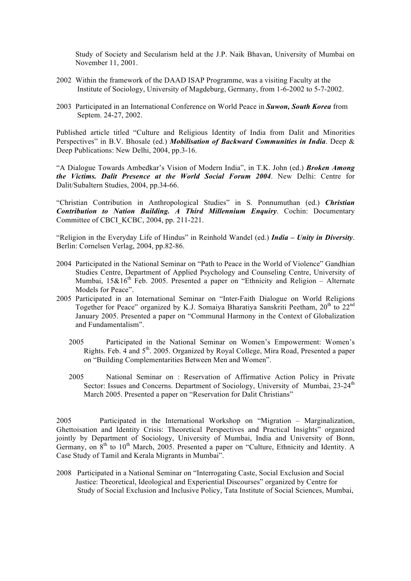Study of Society and Secularism held at the J.P. Naik Bhavan, University of Mumbai on November 11, 2001.

- 2002 Within the framework of the DAAD ISAP Programme, was a visiting Faculty at the Institute of Sociology, University of Magdeburg, Germany, from 1-6-2002 to 5-7-2002.
- 2003 Participated in an International Conference on World Peace in *Suwon, South Korea* from Septem. 24-27, 2002.

Published article titled "Culture and Religious Identity of India from Dalit and Minorities Perspectives" in B.V. Bhosale (ed.) *Mobilisation of Backward Communities in India*. Deep & Deep Publications: New Delhi, 2004, pp.3-16.

"A Dialogue Towards Ambedkar's Vision of Modern India", in T.K. John (ed.) *Broken Among the Victims. Dalit Presence at the World Social Forum 2004*. New Delhi: Centre for Dalit/Subaltern Studies, 2004, pp.34-66.

"Christian Contribution in Anthropological Studies" in S. Ponnumuthan (ed.) *Christian Contribution to Nation Building. A Third Millennium Enquiry*. Cochin: Documentary Committee of CBCI\_KCBC, 2004, pp. 211-221.

"Religion in the Everyday Life of Hindus" in Reinhold Wandel (ed.) *India – Unity in Diversity*. Berlin: Cornelsen Verlag, 2004, pp.82-86.

- 2004 Participated in the National Seminar on "Path to Peace in the World of Violence" Gandhian Studies Centre, Department of Applied Psychology and Counseling Centre, University of Mumbai,  $15\&16$ <sup>th</sup> Feb. 2005. Presented a paper on "Ethnicity and Religion – Alternate Models for Peace".
- 2005 Participated in an International Seminar on "Inter-Faith Dialogue on World Religions Together for Peace" organized by K.J. Somaiya Bharatiya Sanskriti Peetham, 20<sup>th</sup> to 22<sup>nd</sup> January 2005. Presented a paper on "Communal Harmony in the Context of Globalization and Fundamentalism".
	- 2005 Participated in the National Seminar on Women's Empowerment: Women's Rights. Feb. 4 and 5<sup>th</sup>. 2005. Organized by Royal College, Mira Road, Presented a paper on "Building Complementarities Between Men and Women".
	- 2005 National Seminar on : Reservation of Affirmative Action Policy in Private Sector: Issues and Concerns. Department of Sociology, University of Mumbai,  $23-24<sup>th</sup>$ March 2005. Presented a paper on "Reservation for Dalit Christians"

2005 Participated in the International Workshop on "Migration – Marginalization, Ghettoisation and Identity Crisis: Theoretical Perspectives and Practical Insights" organized jointly by Department of Sociology, University of Mumbai, India and University of Bonn, Germany, on  $8<sup>th</sup>$  to 10<sup>th</sup> March, 2005. Presented a paper on "Culture, Ethnicity and Identity. A Case Study of Tamil and Kerala Migrants in Mumbai".

2008 Participated in a National Seminar on "Interrogating Caste, Social Exclusion and Social Justice: Theoretical, Ideological and Experiential Discourses" organized by Centre for Study of Social Exclusion and Inclusive Policy, Tata Institute of Social Sciences, Mumbai,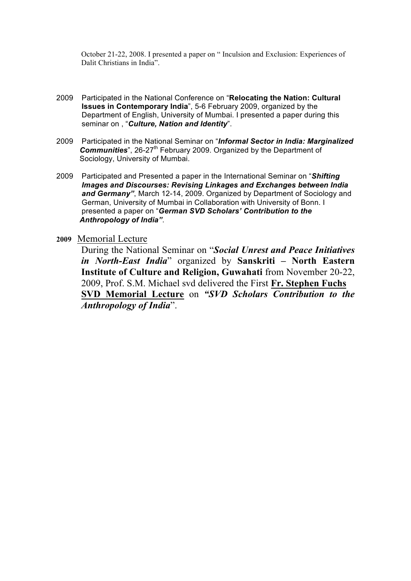October 21-22, 2008. I presented a paper on " Inculsion and Exclusion: Experiences of Dalit Christians in India".

- 2009 Participated in the National Conference on "**Relocating the Nation: Cultural Issues in Contemporary India**", 5-6 February 2009, organized by the Department of English, University of Mumbai. I presented a paper during this seminar on , "*Culture, Nation and Identity*".
- 2009 Participated in the National Seminar on "*Informal Sector in India: Marginalized*  **Communities**", 26-27<sup>th</sup> February 2009. Organized by the Department of Sociology, University of Mumbai.
- 2009 Participated and Presented a paper in the International Seminar on "*Shifting Images and Discourses: Revising Linkages and Exchanges between India and Germany"*, March 12-14, 2009. Organized by Department of Sociology and German, University of Mumbai in Collaboration with University of Bonn. I presented a paper on "*German SVD Scholars' Contribution to the Anthropology of India"*.
- **2009** Memorial Lecture

During the National Seminar on "*Social Unrest and Peace Initiatives in North-East India*" organized by **Sanskriti – North Eastern Institute of Culture and Religion, Guwahati** from November 20-22, 2009, Prof. S.M. Michael svd delivered the First **Fr. Stephen Fuchs SVD Memorial Lecture** on *"SVD Scholars Contribution to the Anthropology of India*".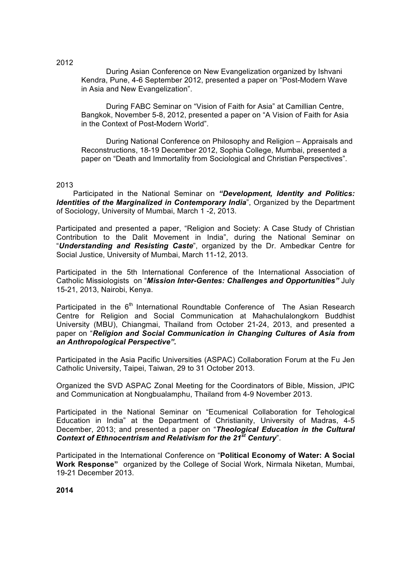During Asian Conference on New Evangelization organized by Ishvani Kendra, Pune, 4-6 September 2012, presented a paper on "Post-Modern Wave in Asia and New Evangelization".

During FABC Seminar on "Vision of Faith for Asia" at Camillian Centre, Bangkok, November 5-8, 2012, presented a paper on "A Vision of Faith for Asia in the Context of Post-Modern World".

During National Conference on Philosophy and Religion – Appraisals and Reconstructions, 18-19 December 2012, Sophia College, Mumbai, presented a paper on "Death and Immortality from Sociological and Christian Perspectives".

2013

 Participated in the National Seminar on *"Development, Identity and Politics: Identities of the Marginalized in Contemporary India". Organized by the Department* of Sociology, University of Mumbai, March 1 -2, 2013.

Participated and presented a paper, "Religion and Society: A Case Study of Christian Contribution to the Dalit Movement in India", during the National Seminar on "*Understanding and Resisting Caste*", organized by the Dr. Ambedkar Centre for Social Justice, University of Mumbai, March 11-12, 2013.

Participated in the 5th International Conference of the International Association of Catholic Missiologists on "*Mission Inter-Gentes: Challenges and Opportunities"* July 15-21, 2013, Nairobi, Kenya.

Participated in the  $6<sup>th</sup>$  International Roundtable Conference of The Asian Research Centre for Religion and Social Communication at Mahachulalongkorn Buddhist University (MBU), Chiangmai, Thailand from October 21-24, 2013, and presented a paper on "*Religion and Social Communication in Changing Cultures of Asia from an Anthropological Perspective".*

Participated in the Asia Pacific Universities (ASPAC) Collaboration Forum at the Fu Jen Catholic University, Taipei, Taiwan, 29 to 31 October 2013.

Organized the SVD ASPAC Zonal Meeting for the Coordinators of Bible, Mission, JPIC and Communication at Nongbualamphu, Thailand from 4-9 November 2013.

Participated in the National Seminar on "Ecumenical Collaboration for Tehological Education in India" at the Department of Christianity, University of Madras, 4-5 December, 2013; and presented a paper on "*Theological Education in the Cultural Context of Ethnocentrism and Relativism for the 21st Century*".

Participated in the International Conference on "**Political Economy of Water: A Social Work Response"** organized by the College of Social Work, Nirmala Niketan, Mumbai, 19-21 December 2013.

**2014**

2012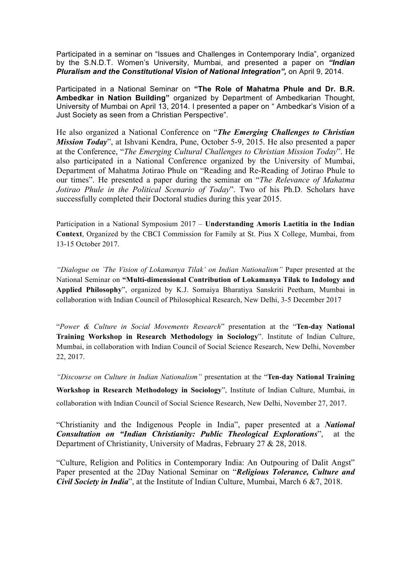Participated in a seminar on "Issues and Challenges in Contemporary India", organized by the S.N.D.T. Women's University, Mumbai, and presented a paper on *"Indian Pluralism and the Constitutional Vision of National Integration",* on April 9, 2014.

Participated in a National Seminar on **"The Role of Mahatma Phule and Dr. B.R. Ambedkar in Nation Building"** organized by Department of Ambedkarian Thought, University of Mumbai on April 13, 2014. I presented a paper on " Ambedkar's Vision of a Just Society as seen from a Christian Perspective".

He also organized a National Conference on "*The Emerging Challenges to Christian Mission Today*", at Ishvani Kendra, Pune, October 5-9, 2015. He also presented a paper at the Conference, "*The Emerging Cultural Challenges to Christian Mission Today*". He also participated in a National Conference organized by the University of Mumbai, Department of Mahatma Jotirao Phule on "Reading and Re-Reading of Jotirao Phule to our times". He presented a paper during the seminar on "*The Relevance of Mahatma Jotirao Phule in the Political Scenario of Today*". Two of his Ph.D. Scholars have successfully completed their Doctoral studies during this year 2015.

Participation in a National Symposium 2017 – **Understanding Amoris Laetitia in the Indian Context**, Organized by the CBCI Commission for Family at St. Pius X College, Mumbai, from 13-15 October 2017.

*"Dialogue on `The Vision of Lokamanya Tilak' on Indian Nationalism"* Paper presented at the National Seminar on **"Multi-dimensional Contribution of Lokamanya Tilak to Indology and Applied Philosophy**", organized by K.J. Somaiya Bharatiya Sanskriti Peetham, Mumbai in collaboration with Indian Council of Philosophical Research, New Delhi, 3-5 December 2017

"*Power & Culture in Social Movements Research*" presentation at the "**Ten-day National Training Workshop in Research Methodology in Sociology**". Institute of Indian Culture, Mumbai, in collaboration with Indian Council of Social Science Research, New Delhi, November 22, 2017.

*"Discourse on Culture in Indian Nationalism"* presentation at the "**Ten-day National Training** 

**Workshop in Research Methodology in Sociology**", Institute of Indian Culture, Mumbai, in collaboration with Indian Council of Social Science Research, New Delhi, November 27, 2017.

"Christianity and the Indigenous People in India", paper presented at a *National Consultation on "Indian Christianity: Public Theological Explorations*", at the Department of Christianity, University of Madras, February 27 & 28, 2018.

"Culture, Religion and Politics in Contemporary India: An Outpouring of Dalit Angst" Paper presented at the 2Day National Seminar on "*Religious Tolerance, Culture and Civil Society in India*", at the Institute of Indian Culture, Mumbai, March 6 & 7, 2018.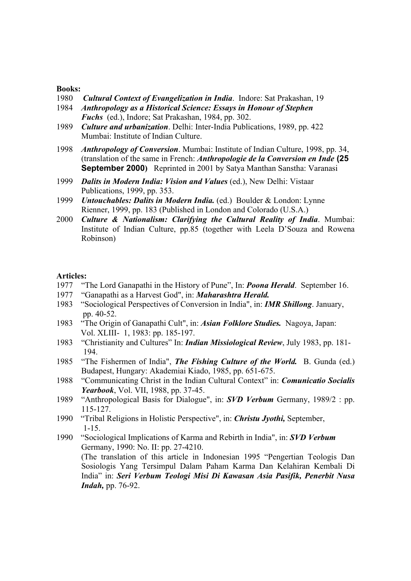#### **Books:**

- 1980 *Cultural Context of Evangelization in India*. Indore: Sat Prakashan, 19
- 1984 *Anthropology as a Historical Science: Essays in Honour of Stephen Fuchs* (ed.), Indore; Sat Prakashan, 1984, pp. 302.
- 1989 *Culture and urbanization*. Delhi: Inter-India Publications, 1989, pp. 422 Mumbai: Institute of Indian Culture.
- 1998 *Anthropology of Conversion*. Mumbai: Institute of Indian Culture, 1998, pp. 34, (translation of the same in French: *Anthropologie de la Conversion en Inde* **(25 September 2000)** Reprinted in 2001 by Satya Manthan Sanstha: Varanasi
- 1999 *Dalits in Modern India: Vision and Values* (ed.), New Delhi: Vistaar Publications, 1999, pp. 353.
- 1999 *Untouchables: Dalits in Modern India.* (ed.) Boulder & London: Lynne Rienner, 1999, pp. 183 (Published in London and Colorado (U.S.A.)
- 2000 *Culture & Nationalism: Clarifying the Cultural Reality of India*. Mumbai: Institute of Indian Culture, pp.85 (together with Leela D'Souza and Rowena Robinson)

#### **Articles:**

- 1977 "The Lord Ganapathi in the History of Pune", In: *Poona Herald*. September 16.
- 1977 "Ganapathi as a Harvest God", in: *Maharashtra Herald.*
- 1983 "Sociological Perspectives of Conversion in India", in: *IMR Shillong*. January, pp. 40-52.
- 1983 "The Origin of Ganapathi Cult", in: *Asian Folklore Studies.* Nagoya, Japan: Vol. XLIII- 1, 1983: pp. 185-197.
- 1983 "Christianity and Cultures" In: *Indian Missiological Review*, July 1983, pp. 181- 194.
- 1985 "The Fishermen of India", *The Fishing Culture of the World.* B. Gunda (ed.) Budapest, Hungary: Akademiai Kiado, 1985, pp. 651-675.
- 1988 "Communicating Christ in the Indian Cultural Context" in: *Comunicatio Socialis Yearbook*, Vol. VII, 1988, pp. 37-45.
- 1989 "Anthropological Basis for Dialogue", in: *SVD Verbum* Germany, 1989/2 : pp. 115-127.
- 1990 "Tribal Religions in Holistic Perspective", in: *Christu Jyothi,* September, 1-15.
- 1990 "Sociological Implications of Karma and Rebirth in India", in: *SVD Verbum* Germany, 1990: No. II: pp. 27-4210. (The translation of this article in Indonesian 1995 "Pengertian Teologis Dan Sosiologis Yang Tersimpul Dalam Paham Karma Dan Kelahiran Kembali Di India" in: *Seri Verbum Teologi Misi Di Kawasan Asia Pasifik, Penerbit Nusa Indah,* pp. 76-92.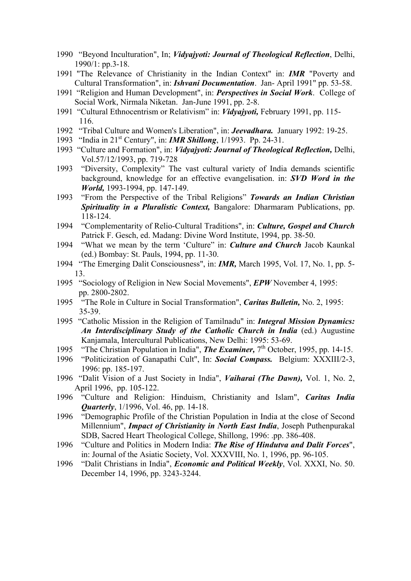- 1990 "Beyond Inculturation", In; *Vidyajyoti: Journal of Theological Reflection*, Delhi, 1990/1: pp.3-18.
- 1991 "The Relevance of Christianity in the Indian Context" in: *IMR* "Poverty and Cultural Transformation", in: *Ishvani Documentation*. Jan- April 1991" pp. 53-58.
- 1991 "Religion and Human Development", in: *Perspectives in Social Work*. College of Social Work, Nirmala Niketan. Jan-June 1991, pp. 2-8.
- 1991 "Cultural Ethnocentrism or Relativism" in: *Vidyajyoti,* February 1991, pp. 115- 116.
- 1992 "Tribal Culture and Women's Liberation", in: *Jeevadhara.* January 1992: 19-25.
- 1993 "India in 21st Century", in: *IMR Shillong*, 1/1993. Pp. 24-31.
- 1993 "Culture and Formation", in: *Vidyajyoti: Journal of Theological Reflection,* Delhi, Vol.57/12/1993, pp. 719-728
- 1993 "Diversity, Complexity" The vast cultural variety of India demands scientific background, knowledge for an effective evangelisation. in: *SVD Word in the World,* 1993-1994, pp. 147-149.
- 1993 "From the Perspective of the Tribal Religions" *Towards an Indian Christian Spirituality in a Pluralistic Context,* Bangalore: Dharmaram Publications, pp. 118-124.
- 1994 "Complementarity of Relio-Cultural Traditions", in: *Culture, Gospel and Church* Patrick F. Gesch, ed. Madang: Divine Word Institute, 1994, pp. 38-50.
- 1994 "What we mean by the term 'Culture" in: *Culture and Church* Jacob Kaunkal (ed.) Bombay: St. Pauls, 1994, pp. 11-30.
- 1994 "The Emerging Dalit Consciousness", in: *IMR,* March 1995, Vol. 17, No. 1, pp. 5- 13.
- 1995 "Sociology of Religion in New Social Movements", *EPW* November 4, 1995: pp. 2800-2802.
- 1995 "The Role in Culture in Social Transformation", *Caritas Bulletin,* No. 2, 1995: 35-39.
- 1995 "Catholic Mission in the Religion of Tamilnadu" in: *Integral Mission Dynamics: An Interdisciplinary Study of the Catholic Church in India* (ed.) Augustine Kanjamala, Intercultural Publications, New Delhi: 1995: 53-69.
- 1995 "The Christian Population in India", **The Examiner**, 7<sup>th</sup> October, 1995, pp. 14-15.
- 1996 "Politicization of Ganapathi Cult", In: *Social Compass.* Belgium: XXXIII/2-3, 1996: pp. 185-197.
- 1996 "Dalit Vision of a Just Society in India", *Vaiharai (The Dawn),* Vol. 1, No. 2, April 1996, pp. 105-122.
- 1996 "Culture and Religion: Hinduism, Christianity and Islam", *Caritas India Quarterly*, 1/1996, Vol. 46, pp. 14-18.
- 1996 "Demographic Profile of the Christian Population in India at the close of Second Millennium", *Impact of Christianity in North East India*, Joseph Puthenpurakal SDB, Sacred Heart Theological College, Shillong, 1996: .pp. 386-408.
- 1996 "Culture and Politics in Modern India: *The Rise of Hindutva and Dalit Forces*", in: Journal of the Asiatic Society, Vol. XXXVIII, No. 1, 1996, pp. 96-105.
- 1996 "Dalit Christians in India", *Economic and Political Weekly*, Vol. XXXI, No. 50. December 14, 1996, pp. 3243-3244.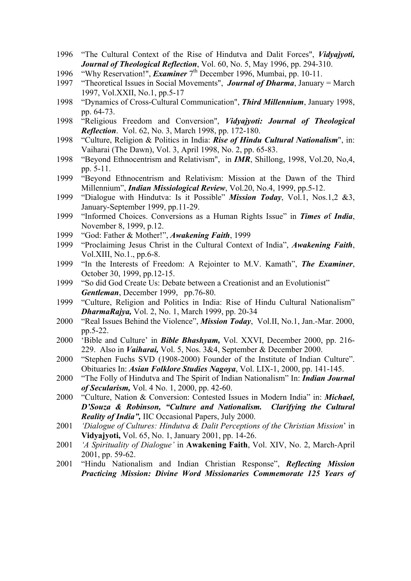- 1996 "The Cultural Context of the Rise of Hindutva and Dalit Forces", *Vidyajyoti, Journal of Theological Reflection*, Vol. 60, No. 5, May 1996, pp. 294-310.
- 1996 "Why Reservation!", *Examiner* 7th December 1996, Mumbai, pp. 10-11.
- 1997 "Theoretical Issues in Social Movements", *Journal of Dharma*, January = March 1997, Vol.XXII, No.1, pp.5-17
- 1998 "Dynamics of Cross-Cultural Communication", *Third Millennium*, January 1998, pp. 64-73.
- 1998 "Religious Freedom and Conversion", *Vidyajyoti: Journal of Theological Reflection*. Vol. 62, No. 3, March 1998, pp. 172-180.
- 1998 "Culture, Religion & Politics in India: *Rise of Hindu Cultural Nationalism*", in: Vaiharai (The Dawn), Vol. 3, April 1998, No. 2, pp. 65-83.
- 1998 "Beyond Ethnocentrism and Relativism", in *IMR*, Shillong, 1998, Vol.20, No,4, pp. 5-11.
- 1999 "Beyond Ethnocentrism and Relativism: Mission at the Dawn of the Third Millennium", *Indian Missiological Review*, Vol.20, No.4, 1999, pp.5-12.
- 1999 "Dialogue with Hindutva: Is it Possible" *Mission Today*, Vol.1, Nos.1,2 &3, January-September 1999, pp.11-29.
- 1999 "Informed Choices. Conversions as a Human Rights Issue" in *Times o*f *India*, November 8, 1999, p.12.
- 1999 "God: Father & Mother!", *Awakening Faith*, 1999
- 1999 "Proclaiming Jesus Christ in the Cultural Context of India", *Awakening Faith*, Vol.XIII, No.1., pp.6-8.
- 1999 "In the Interests of Freedom: A Rejointer to M.V. Kamath", *The Examiner*, October 30, 1999, pp.12-15.
- 1999 "So did God Create Us: Debate between a Creationist and an Evolutionist" *Gentleman*, December 1999, pp.76-80.
- 1999 "Culture, Religion and Politics in India: Rise of Hindu Cultural Nationalism" *DharmaRajya,* Vol. 2, No. 1, March 1999, pp. 20-34
- 2000 "Real Issues Behind the Violence", *Mission Today*, Vol.II, No.1, Jan.-Mar. 2000, pp.5-22.
- 2000 'Bible and Culture' in *Bible Bhashyam,* Vol. XXVI, December 2000, pp. 216- 229. Also in *Vaiharai,* Vol. 5, Nos. 3&4, September & December 2000.
- 2000 "Stephen Fuchs SVD (1908-2000) Founder of the Institute of Indian Culture". Obituaries In: *Asian Folklore Studies Nagoya*, Vol. LIX-1, 2000, pp. 141-145.
- 2000 "The Folly of Hindutva and The Spirit of Indian Nationalism" In: *Indian Journal of Secularism,* Vol. 4 No. 1, 2000, pp. 42-60.
- 2000 "Culture, Nation & Conversion: Contested Issues in Modern India" in: *Michael, D'Souza & Robinson, "Culture and Nationalism. Clarifying the Cultural Reality of India",* IIC Occasional Papers, July 2000.
- 2001 *'Dialogue of Cultures: Hindutva & Dalit Perceptions of the Christian Mission*' in **Vidyajyoti,** Vol. 65, No. 1, January 2001, pp. 14-26.
- 2001 *'A Spirituality of Dialogue'* in **Awakening Faith**, Vol. XIV, No. 2, March-April 2001, pp. 59-62.
- 2001 "Hindu Nationalism and Indian Christian Response", *Reflecting Mission Practicing Mission: Divine Word Missionaries Commemorate 125 Years of*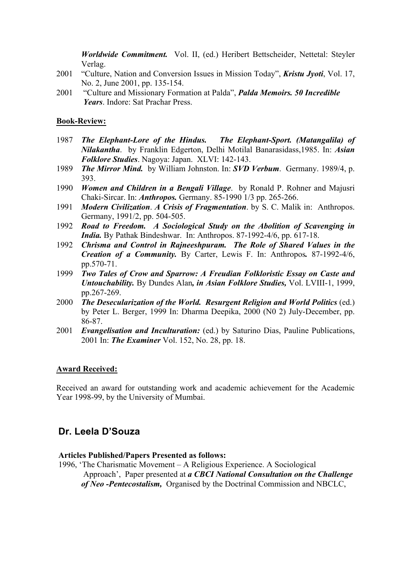*Worldwide Commitment.* Vol. II, (ed.) Heribert Bettscheider, Nettetal: Steyler Verlag.

- 2001 "Culture, Nation and Conversion Issues in Mission Today", *Kristu Jyoti*, Vol. 17, No. 2, June 2001, pp. 135-154.
- 2001 "Culture and Missionary Formation at Palda", *Palda Memoirs. 50 Incredible Years*. Indore: Sat Prachar Press.

#### **Book-Review:**

- 1987 *The Elephant-Lore of the Hindus. The Elephant-Sport. (Matangalila) of Nilakantha*. by Franklin Edgerton, Delhi Motilal Banarasidass,1985. In: *Asian Folklore Studies*. Nagoya: Japan. XLVI: 142-143.
- 1989 *The Mirror Mind.* by William Johnston. In: *SVD Verbum*. Germany. 1989/4, p. 393.
- 1990 *Women and Children in a Bengali Village*. by Ronald P. Rohner and Majusri Chaki-Sircar. In: *Anthropos.* Germany. 85-1990 1/3 pp. 265-266.
- 1991 *Modern Civilization*. *A Crisis of Fragmentation*. by S. C. Malik in: Anthropos. Germany, 1991/2, pp. 504-505.
- 1992 *Road to Freedom. A Sociological Study on the Abolition of Scavenging in India.* By Pathak Bindeshwar. In: Anthropos. 87-1992-4/6, pp. 617-18.
- 1992 *Chrisma and Control in Rajneeshpuram. The Role of Shared Values in the Creation of a Community.* By Carter, Lewis F. In: Anthropos*.* 87-1992-4/6, pp.570-71.
- 1999 *Two Tales of Crow and Sparrow: A Freudian Folkloristic Essay on Caste and Untouchability.* By Dundes Alan*, in Asian Folklore Studies,* Vol. LVIII-1, 1999, pp.267-269.
- 2000 *The Desecularization of the World. Resurgent Religion and World Politics* (ed.) by Peter L. Berger, 1999 In: Dharma Deepika, 2000 (N0 2) July-December, pp. 86-87.
- 2001 *Evangelisation and Inculturation:* (ed.) by Saturino Dias, Pauline Publications, 2001 In: *The Examiner* Vol. 152, No. 28, pp. 18.

#### **Award Received:**

Received an award for outstanding work and academic achievement for the Academic Year 1998-99, by the University of Mumbai.

### **Dr. Leela D'Souza**

#### **Articles Published/Papers Presented as follows:**

1996, 'The Charismatic Movement – A Religious Experience. A Sociological Approach', Paper presented at *a CBCI National Consultation on the Challenge of Neo -Pentecostalism,* Organised by the Doctrinal Commission and NBCLC,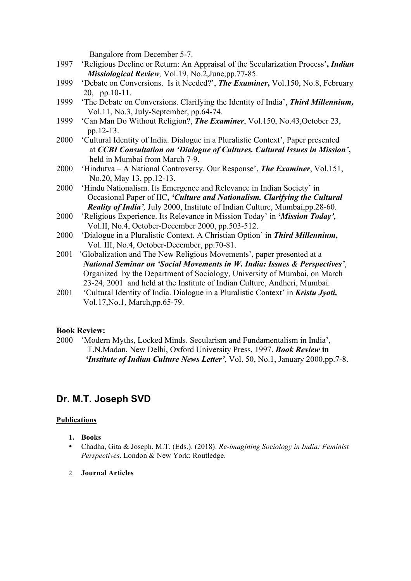Bangalore from December 5-7.

- 1997 'Religious Decline or Return: An Appraisal of the Secularization Process'**,** *Indian Missiological Review,* Vol.19, No.2,June,pp.77-85.
- 1999 'Debate on Conversions. Is it Needed?', *The Examiner***,** Vol.150, No.8, February 20, pp.10-11.
- 1999 'The Debate on Conversions. Clarifying the Identity of India', *Third Millennium,* Vol.11, No.3, July-September, pp.64-74.
- 1999 'Can Man Do Without Religion?, *The Examiner*, Vol.150, No.43,October 23, pp.12-13.
- 2000 'Cultural Identity of India. Dialogue in a Pluralistic Context', Paper presented at *CCBI Consultation on 'Dialogue of Cultures. Cultural Issues in Mission'***,** held in Mumbai from March 7-9.
- 2000 'Hindutva A National Controversy. Our Response', *The Examiner*, Vol.151, No.20, May 13, pp.12-13.
- 2000 'Hindu Nationalism. Its Emergence and Relevance in Indian Society' in Occasional Paper of IIC**,** *'Culture and Nationalism. Clarifying the Cultural Reality of India',* July 2000, Institute of Indian Culture, Mumbai,pp.28-60.
- 2000 'Religious Experience. Its Relevance in Mission Today' in **'***Mission Today',* Vol.II, No.4, October-December 2000, pp.503-512.
- 2000 'Dialogue in a Pluralistic Context. A Christian Option' in *Third Millennium***,** Vol. III, No.4, October-December, pp.70-81.
- 2001 'Globalization and The New Religious Movements', paper presented at a *National Seminar on 'Social Movements in W. India: Issues & Perspectives'*, Organized by the Department of Sociology, University of Mumbai, on March 23-24, 2001 and held at the Institute of Indian Culture, Andheri, Mumbai.
- 2001 'Cultural Identity of India. Dialogue in a Pluralistic Context' in *Kristu Jyoti,* Vol.17,No.1, March,pp.65-79.

#### **Book Review:**

2000 'Modern Myths, Locked Minds. Secularism and Fundamentalism in India', T.N.Madan, New Delhi, Oxford University Press, 1997. *Book Review* **in**  *'Institute of Indian Culture News Letter', Vol. 50, No.1, January 2000,pp.7-8.* 

## **Dr. M.T. Joseph SVD**

#### **Publications**

- **1. Books**
- Chadha, Gita & Joseph, M.T. (Eds.). (2018). *Re-imagining Sociology in India: Feminist Perspectives*. London & New York: Routledge.
- 2. **Journal Articles**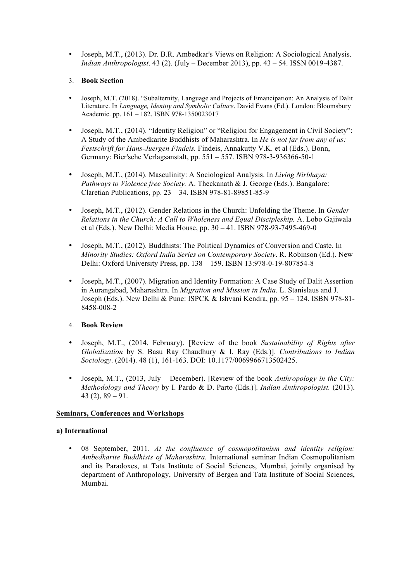• Joseph, M.T., (2013). Dr. B.R. Ambedkar's Views on Religion: A Sociological Analysis. *Indian Anthropologist*. 43 (2). (July – December 2013), pp. 43 – 54. ISSN 0019-4387.

#### 3. **Book Section**

- Joseph, M.T. (2018). "Subalternity, Language and Projects of Emancipation: An Analysis of Dalit Literature. In *Language, Identity and Symbolic Culture*. David Evans (Ed.). London: Bloomsbury Academic. pp. 161 – 182. ISBN 978-1350023017
- Joseph, M.T., (2014). "Identity Religion" or "Religion for Engagement in Civil Society": A Study of the Ambedkarite Buddhists of Maharashtra. In *He is not far from any of us: Festschrift for Hans-Juergen Findeis.* Findeis, Annakutty V.K. et al (Eds.). Bonn, Germany: Bier'sche Verlagsanstalt, pp. 551 – 557. ISBN 978-3-936366-50-1
- Joseph, M.T., (2014). Masculinity: A Sociological Analysis. In *Living Nirbhaya: Pathways to Violence free Society.* A. Theckanath & J. George (Eds.). Bangalore: Claretian Publications, pp. 23 – 34. ISBN 978-81-89851-85-9
- Joseph, M.T., (2012). Gender Relations in the Church: Unfolding the Theme. In *Gender Relations in the Church: A Call to Wholeness and Equal Discipleship.* A. Lobo Gajiwala et al (Eds.). New Delhi: Media House, pp. 30 – 41. ISBN 978-93-7495-469-0
- Joseph, M.T., (2012). Buddhists: The Political Dynamics of Conversion and Caste. In *Minority Studies: Oxford India Series on Contemporary Society*. R. Robinson (Ed.). New Delhi: Oxford University Press, pp. 138 – 159. ISBN 13:978-0-19-807854-8
- Joseph, M.T., (2007). Migration and Identity Formation: A Case Study of Dalit Assertion in Aurangabad, Maharashtra. In *Migration and Mission in India.* L. Stanislaus and J. Joseph (Eds.). New Delhi & Pune: ISPCK & Ishvani Kendra, pp. 95 – 124. ISBN 978-81- 8458-008-2

#### 4. **Book Review**

- Joseph, M.T., (2014, February). [Review of the book *Sustainability of Rights after Globalization* by S. Basu Ray Chaudhury & I. Ray (Eds.)]. *Contributions to Indian Sociology*. (2014). 48 (1), 161-163. DOI: 10.1177/0069966713502425.
- Joseph, M.T., (2013, July December). [Review of the book *Anthropology in the City: Methodology and Theory* by I. Pardo & D. Parto (Eds.)]. *Indian Anthropologist.* (2013). 43 $(2)$ , 89 – 91.

#### **Seminars, Conferences and Workshops**

#### **a) International**

• 08 September, 2011. *At the confluence of cosmopolitanism and identity religion: Ambedkarite Buddhists of Maharashtra.* International seminar Indian Cosmopolitanism and its Paradoxes, at Tata Institute of Social Sciences, Mumbai, jointly organised by department of Anthropology, University of Bergen and Tata Institute of Social Sciences, Mumbai.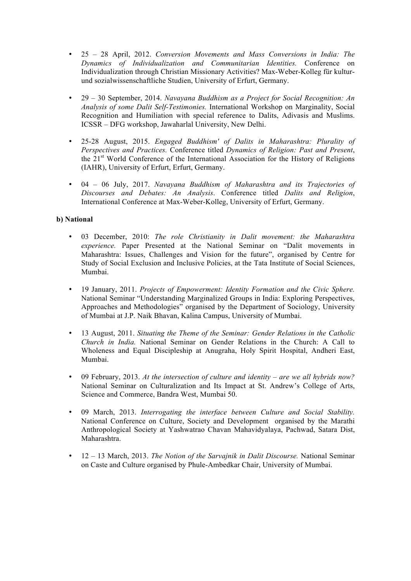- 25 28 April, 2012. *Conversion Movements and Mass Conversions in India: The Dynamics of Individualization and Communitarian Identities.* Conference on Individualization through Christian Missionary Activities? Max-Weber-Kolleg für kulturund sozialwissenschaftliche Studien, University of Erfurt, Germany.
- 29 30 September, 2014. *Navayana Buddhism as a Project for Social Recognition: An Analysis of some Dalit Self-Testimonies.* International Workshop on Marginality, Social Recognition and Humiliation with special reference to Dalits, Adivasis and Muslims. ICSSR – DFG workshop, Jawaharlal University, New Delhi.
- 25-28 August, 2015. *Engaged Buddhism' of Dalits in Maharashtra: Plurality of Perspectives and Practices.* Conference titled *Dynamics of Religion: Past and Present*, the  $21<sup>st</sup>$  World Conference of the International Association for the History of Religions (IAHR), University of Erfurt, Erfurt, Germany.
- 04 06 July, 2017. *Navayana Buddhism of Maharashtra and its Trajectories of Discourses and Debates: An Analysis*. Conference titled *Dalits and Religion*, International Conference at Max-Weber-Kolleg, University of Erfurt, Germany.

#### **b) National**

- 03 December, 2010: *The role Christianity in Dalit movement: the Maharashtra experience.* Paper Presented at the National Seminar on "Dalit movements in Maharashtra: Issues, Challenges and Vision for the future", organised by Centre for Study of Social Exclusion and Inclusive Policies, at the Tata Institute of Social Sciences, Mumbai.
- 19 January, 2011. *Projects of Empowerment: Identity Formation and the Civic Sphere.*  National Seminar "Understanding Marginalized Groups in India: Exploring Perspectives, Approaches and Methodologies" organised by the Department of Sociology, University of Mumbai at J.P. Naik Bhavan, Kalina Campus, University of Mumbai.
- 13 August, 2011. *Situating the Theme of the Seminar: Gender Relations in the Catholic Church in India.* National Seminar on Gender Relations in the Church: A Call to Wholeness and Equal Discipleship at Anugraha, Holy Spirit Hospital, Andheri East, Mumbai.
- 09 February, 2013. *At the intersection of culture and identity – are we all hybrids now?*  National Seminar on Culturalization and Its Impact at St. Andrew's College of Arts, Science and Commerce, Bandra West, Mumbai 50.
- 09 March, 2013. *Interrogating the interface between Culture and Social Stability.*  National Conference on Culture, Society and Development organised by the Marathi Anthropological Society at Yashwatrao Chavan Mahavidyalaya, Pachwad, Satara Dist, Maharashtra.
- 12 13 March, 2013. *The Notion of the Sarvajnik in Dalit Discourse.* National Seminar on Caste and Culture organised by Phule-Ambedkar Chair, University of Mumbai.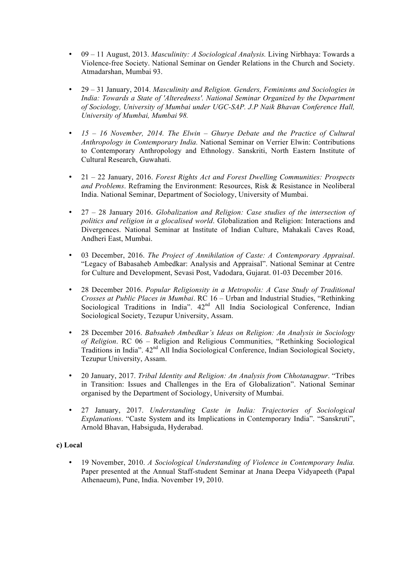- 09 11 August, 2013. *Masculinity: A Sociological Analysis.* Living Nirbhaya: Towards a Violence-free Society. National Seminar on Gender Relations in the Church and Society. Atmadarshan, Mumbai 93.
- 29 31 January, 2014. *Masculinity and Religion. Genders, Feminisms and Sociologies in India: Towards a State of 'Alteredness'. National Seminar Organized by the Department of Sociology, University of Mumbai under UGC-SAP. J.P Naik Bhavan Conference Hall, University of Mumbai, Mumbai 98.*
- *15 – 16 November, 2014. The Elwin – Ghurye Debate and the Practice of Cultural Anthropology in Contemporary India.* National Seminar on Verrier Elwin: Contributions to Contemporary Anthropology and Ethnology. Sanskriti, North Eastern Institute of Cultural Research, Guwahati.
- 21 22 January, 2016. *Forest Rights Act and Forest Dwelling Communities: Prospects and Problems*. Reframing the Environment: Resources, Risk & Resistance in Neoliberal India. National Seminar, Department of Sociology, University of Mumbai.
- 27 28 January 2016. *Globalization and Religion: Case studies of the intersection of politics and religion in a glocalised world*. Globalization and Religion: Interactions and Divergences. National Seminar at Institute of Indian Culture, Mahakali Caves Road, Andheri East, Mumbai.
- 03 December, 2016. *The Project of Annihilation of Caste: A Contemporary Appraisal*. "Legacy of Babasaheb Ambedkar: Analysis and Appraisal". National Seminar at Centre for Culture and Development, Sevasi Post, Vadodara, Gujarat. 01-03 December 2016.
- 28 December 2016. *Popular Religionsity in a Metropolis: A Case Study of Traditional Crosses at Public Places in Mumbai*. RC 16 – Urban and Industrial Studies, "Rethinking Sociological Traditions in India". 42<sup>nd</sup> All India Sociological Conference, Indian Sociological Society, Tezupur University, Assam.
- 28 December 2016. *Babsaheb Ambedkar's Ideas on Religion: An Analysis in Sociology of Religion*. RC 06 – Religion and Religious Communities, "Rethinking Sociological Traditions in India".  $42<sup>nd</sup>$  All India Sociological Conference, Indian Sociological Society, Tezupur University, Assam.
- 20 January, 2017. *Tribal Identity and Religion: An Analysis from Chhotanagpur*. "Tribes in Transition: Issues and Challenges in the Era of Globalization". National Seminar organised by the Department of Sociology, University of Mumbai.
- 27 January, 2017. *Understanding Caste in India: Trajectories of Sociological Explanations*. "Caste System and its Implications in Contemporary India". "Sanskruti", Arnold Bhavan, Habsiguda, Hyderabad.

#### **c) Local**

• 19 November, 2010. *A Sociological Understanding of Violence in Contemporary India.*  Paper presented at the Annual Staff-student Seminar at Jnana Deepa Vidyapeeth (Papal Athenaeum), Pune, India. November 19, 2010.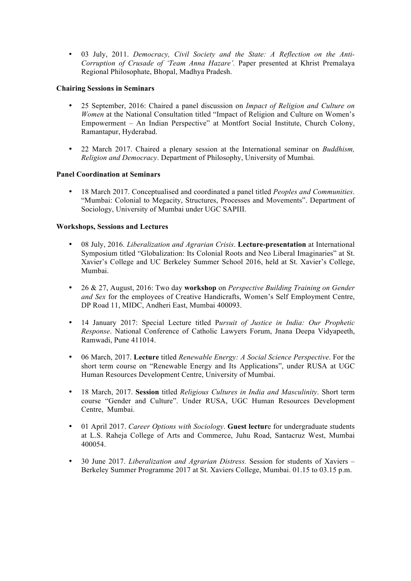• 03 July, 2011. *Democracy, Civil Society and the State: A Reflection on the Anti-Corruption of Crusade of 'Team Anna Hazare'.* Paper presented at Khrist Premalaya Regional Philosophate, Bhopal, Madhya Pradesh.

#### **Chairing Sessions in Seminars**

- 25 September, 2016: Chaired a panel discussion on *Impact of Religion and Culture on Women* at the National Consultation titled "Impact of Religion and Culture on Women's Empowerment – An Indian Perspective" at Montfort Social Institute, Church Colony, Ramantapur, Hyderabad.
- 22 March 2017. Chaired a plenary session at the International seminar on *Buddhism, Religion and Democracy*. Department of Philosophy, University of Mumbai.

#### **Panel Coordination at Seminars**

• 18 March 2017. Conceptualised and coordinated a panel titled *Peoples and Communities*. "Mumbai: Colonial to Megacity, Structures, Processes and Movements". Department of Sociology, University of Mumbai under UGC SAPIII.

#### **Workshops, Sessions and Lectures**

- 08 July, 2016. *Liberalization and Agrarian Crisis*. **Lecture-presentation** at International Symposium titled "Globalization: Its Colonial Roots and Neo Liberal Imaginaries" at St. Xavier's College and UC Berkeley Summer School 2016, held at St. Xavier's College, Mumbai.
- 26 & 27, August, 2016: Two day **workshop** on *Perspective Building Training on Gender and Sex* for the employees of Creative Handicrafts, Women's Self Employment Centre, DP Road 11, MIDC, Andheri East, Mumbai 400093.
- 14 January 2017: Special Lecture titled P*ursuit of Justice in India: Our Prophetic Response*. National Conference of Catholic Lawyers Forum, Jnana Deepa Vidyapeeth, Ramwadi, Pune 411014.
- 06 March, 2017. **Lecture** titled *Renewable Energy: A Social Science Perspective*. For the short term course on "Renewable Energy and Its Applications", under RUSA at UGC Human Resources Development Centre, University of Mumbai.
- 18 March, 2017. **Session** titled *Religious Cultures in India and Masculinity*. Short term course "Gender and Culture". Under RUSA, UGC Human Resources Development Centre, Mumbai.
- 01 April 2017. *Career Options with Sociology*. **Guest lectur**e for undergraduate students at L.S. Raheja College of Arts and Commerce, Juhu Road, Santacruz West, Mumbai 400054.
- 30 June 2017. *Liberalization and Agrarian Distress.* Session for students of Xaviers Berkeley Summer Programme 2017 at St. Xaviers College, Mumbai. 01.15 to 03.15 p.m.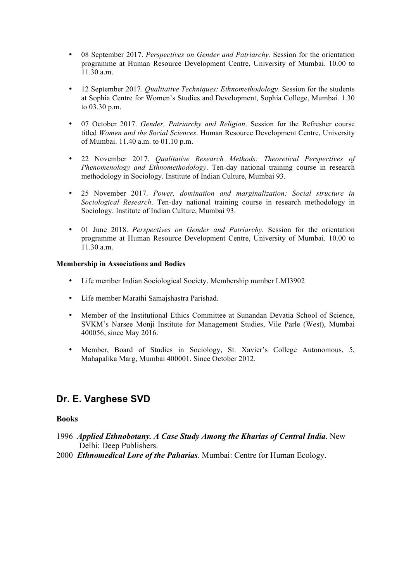- 08 September 2017. *Perspectives on Gender and Patriarchy.* Session for the orientation programme at Human Resource Development Centre, University of Mumbai. 10.00 to 11.30 a.m.
- 12 September 2017. *Qualitative Techniques: Ethnomethodology*. Session for the students at Sophia Centre for Women's Studies and Development, Sophia College, Mumbai. 1.30 to 03.30 p.m.
- 07 October 2017. *Gender, Patriarchy and Religion*. Session for the Refresher course titled *Women and the Social Sciences*. Human Resource Development Centre, University of Mumbai. 11.40 a.m. to 01.10 p.m.
- 22 November 2017. *Qualitative Research Methods: Theoretical Perspectives of Phenomenology and Ethnomethodology*. Ten-day national training course in research methodology in Sociology. Institute of Indian Culture, Mumbai 93.
- 25 November 2017. *Power, domination and marginalization: Social structure in Sociological Research*. Ten-day national training course in research methodology in Sociology. Institute of Indian Culture, Mumbai 93.
- 01 June 2018. *Perspectives on Gender and Patriarchy.* Session for the orientation programme at Human Resource Development Centre, University of Mumbai. 10.00 to  $11.30 a m$

#### **Membership in Associations and Bodies**

- Life member Indian Sociological Society. Membership number LMI3902
- Life member Marathi Samajshastra Parishad.
- Member of the Institutional Ethics Committee at Sunandan Devatia School of Science, SVKM's Narsee Monji Institute for Management Studies, Vile Parle (West), Mumbai 400056, since May 2016.
- Member, Board of Studies in Sociology, St. Xavier's College Autonomous, 5, Mahapalika Marg, Mumbai 400001. Since October 2012.

## **Dr. E. Varghese SVD**

#### **Books**

- 1996 *Applied Ethnobotany. A Case Study Among the Kharias of Central India*. New Delhi: Deep Publishers.
- 2000 *Ethnomedical Lore of the Paharias*. Mumbai: Centre for Human Ecology.